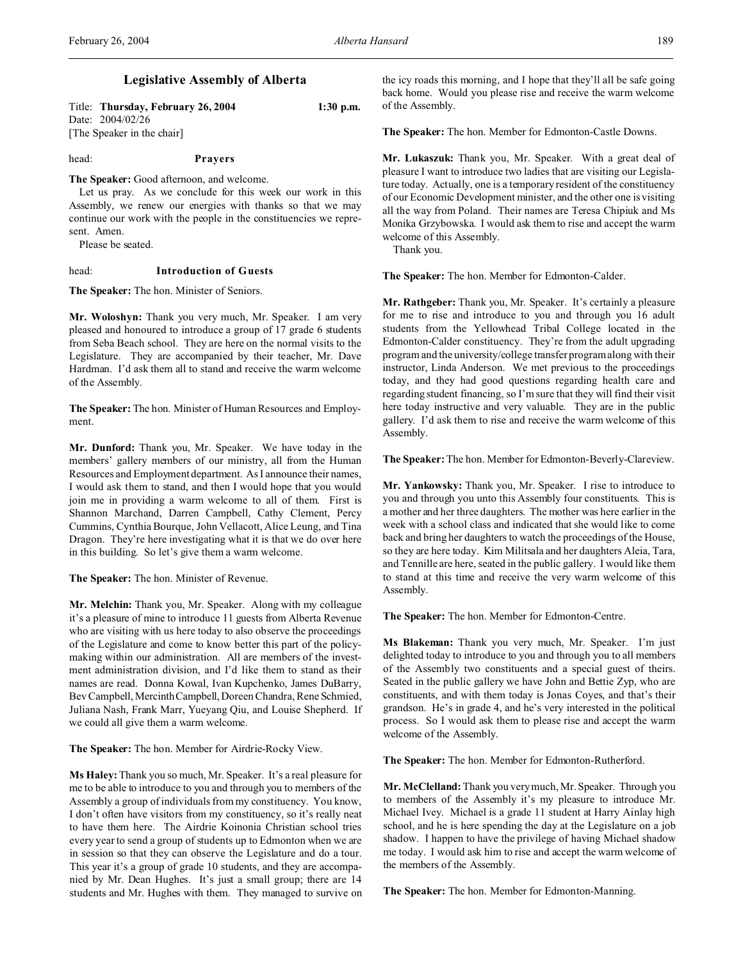# **Legislative Assembly of Alberta**

Title: **Thursday, February 26, 2004 1:30 p.m.** Date: 2004/02/26 [The Speaker in the chair]

head: **Prayers**

**The Speaker:** Good afternoon, and welcome.

Let us pray. As we conclude for this week our work in this Assembly, we renew our energies with thanks so that we may continue our work with the people in the constituencies we represent. Amen.

Please be seated.

## head: **Introduction of Guests**

**The Speaker:** The hon. Minister of Seniors.

**Mr. Woloshyn:** Thank you very much, Mr. Speaker. I am very pleased and honoured to introduce a group of 17 grade 6 students from Seba Beach school. They are here on the normal visits to the Legislature. They are accompanied by their teacher, Mr. Dave Hardman. I'd ask them all to stand and receive the warm welcome of the Assembly.

**The Speaker:** The hon. Minister of Human Resources and Employment.

**Mr. Dunford:** Thank you, Mr. Speaker. We have today in the members' gallery members of our ministry, all from the Human Resources and Employment department. As I announce their names, I would ask them to stand, and then I would hope that you would join me in providing a warm welcome to all of them. First is Shannon Marchand, Darren Campbell, Cathy Clement, Percy Cummins, Cynthia Bourque, John Vellacott, Alice Leung, and Tina Dragon. They're here investigating what it is that we do over here in this building. So let's give them a warm welcome.

**The Speaker:** The hon. Minister of Revenue.

**Mr. Melchin:** Thank you, Mr. Speaker. Along with my colleague it's a pleasure of mine to introduce 11 guests from Alberta Revenue who are visiting with us here today to also observe the proceedings of the Legislature and come to know better this part of the policymaking within our administration. All are members of the investment administration division, and I'd like them to stand as their names are read. Donna Kowal, Ivan Kupchenko, James DuBarry, Bev Campbell, MercinthCampbell, Doreen Chandra, Rene Schmied, Juliana Nash, Frank Marr, Yueyang Qiu, and Louise Shepherd. If we could all give them a warm welcome.

**The Speaker:** The hon. Member for Airdrie-Rocky View.

**Ms Haley:**Thank you so much, Mr. Speaker. It's a real pleasure for me to be able to introduce to you and through you to members of the Assembly a group of individuals from my constituency. You know, I don't often have visitors from my constituency, so it's really neat to have them here. The Airdrie Koinonia Christian school tries every year to send a group of students up to Edmonton when we are in session so that they can observe the Legislature and do a tour. This year it's a group of grade 10 students, and they are accompanied by Mr. Dean Hughes. It's just a small group; there are 14 students and Mr. Hughes with them. They managed to survive on

the icy roads this morning, and I hope that they'll all be safe going back home. Would you please rise and receive the warm welcome of the Assembly.

**The Speaker:** The hon. Member for Edmonton-Castle Downs.

**Mr. Lukaszuk:** Thank you, Mr. Speaker. With a great deal of pleasure I want to introduce two ladies that are visiting our Legislature today. Actually, one is a temporary resident of the constituency of our Economic Development minister, and the other one is visiting all the way from Poland. Their names are Teresa Chipiuk and Ms Monika Grzybowska. I would ask them to rise and accept the warm welcome of this Assembly.

Thank you.

**The Speaker:** The hon. Member for Edmonton-Calder.

**Mr. Rathgeber:** Thank you, Mr. Speaker. It's certainly a pleasure for me to rise and introduce to you and through you 16 adult students from the Yellowhead Tribal College located in the Edmonton-Calder constituency. They're from the adult upgrading program and the university/college transfer program along with their instructor, Linda Anderson. We met previous to the proceedings today, and they had good questions regarding health care and regarding student financing, so I'm sure that they will find their visit here today instructive and very valuable. They are in the public gallery. I'd ask them to rise and receive the warm welcome of this Assembly.

**The Speaker:**The hon. Member for Edmonton-Beverly-Clareview.

**Mr. Yankowsky:** Thank you, Mr. Speaker. I rise to introduce to you and through you unto this Assembly four constituents. This is a mother and her three daughters. The mother was here earlier in the week with a school class and indicated that she would like to come back and bring her daughters to watch the proceedings of the House, so they are here today. Kim Militsala and her daughters Aleia, Tara, and Tennille are here, seated in the public gallery. I would like them to stand at this time and receive the very warm welcome of this Assembly.

**The Speaker:** The hon. Member for Edmonton-Centre.

**Ms Blakeman:** Thank you very much, Mr. Speaker. I'm just delighted today to introduce to you and through you to all members of the Assembly two constituents and a special guest of theirs. Seated in the public gallery we have John and Bettie Zyp, who are constituents, and with them today is Jonas Coyes, and that's their grandson. He's in grade 4, and he's very interested in the political process. So I would ask them to please rise and accept the warm welcome of the Assembly.

**The Speaker:** The hon. Member for Edmonton-Rutherford.

**Mr. McClelland:** Thank you very much, Mr. Speaker. Through you to members of the Assembly it's my pleasure to introduce Mr. Michael Ivey. Michael is a grade 11 student at Harry Ainlay high school, and he is here spending the day at the Legislature on a job shadow. I happen to have the privilege of having Michael shadow me today. I would ask him to rise and accept the warm welcome of the members of the Assembly.

**The Speaker:** The hon. Member for Edmonton-Manning.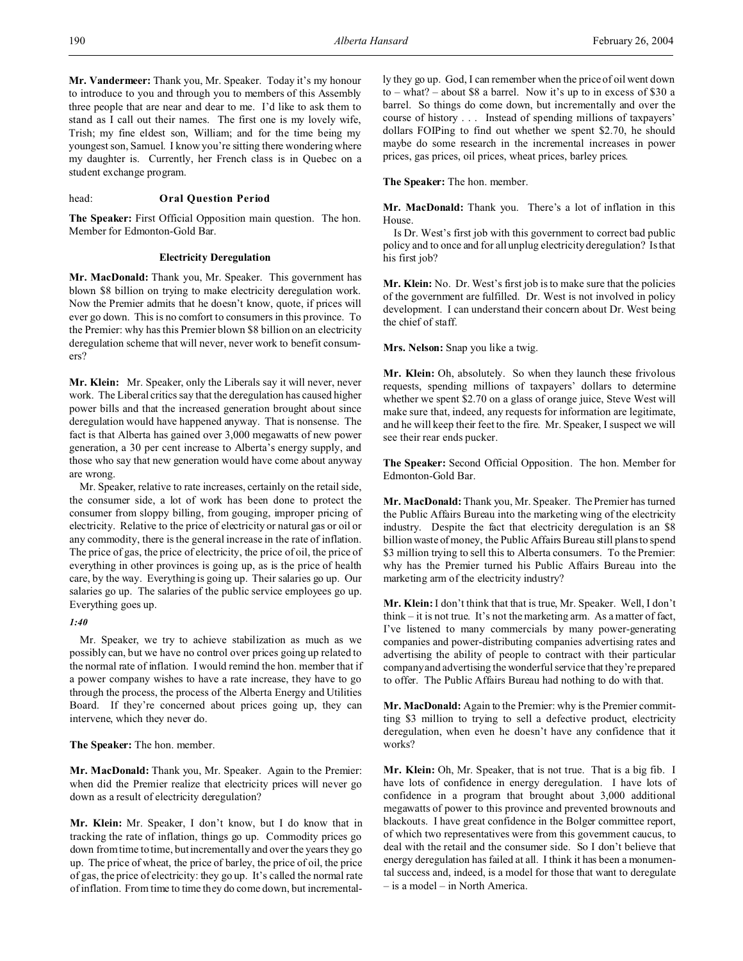**Mr. Vandermeer:** Thank you, Mr. Speaker. Today it's my honour to introduce to you and through you to members of this Assembly three people that are near and dear to me. I'd like to ask them to stand as I call out their names. The first one is my lovely wife, Trish; my fine eldest son, William; and for the time being my youngest son, Samuel. I know you're sitting there wondering where my daughter is. Currently, her French class is in Quebec on a student exchange program.

## head: **Oral Question Period**

**The Speaker:** First Official Opposition main question. The hon. Member for Edmonton-Gold Bar.

#### **Electricity Deregulation**

**Mr. MacDonald:** Thank you, Mr. Speaker. This government has blown \$8 billion on trying to make electricity deregulation work. Now the Premier admits that he doesn't know, quote, if prices will ever go down. This is no comfort to consumers in this province. To the Premier: why has this Premier blown \$8 billion on an electricity deregulation scheme that will never, never work to benefit consumers?

**Mr. Klein:** Mr. Speaker, only the Liberals say it will never, never work. The Liberal critics say that the deregulation has caused higher power bills and that the increased generation brought about since deregulation would have happened anyway. That is nonsense. The fact is that Alberta has gained over 3,000 megawatts of new power generation, a 30 per cent increase to Alberta's energy supply, and those who say that new generation would have come about anyway are wrong.

Mr. Speaker, relative to rate increases, certainly on the retail side, the consumer side, a lot of work has been done to protect the consumer from sloppy billing, from gouging, improper pricing of electricity. Relative to the price of electricity or natural gas or oil or any commodity, there is the general increase in the rate of inflation. The price of gas, the price of electricity, the price of oil, the price of everything in other provinces is going up, as is the price of health care, by the way. Everything is going up. Their salaries go up. Our salaries go up. The salaries of the public service employees go up. Everything goes up.

## *1:40*

Mr. Speaker, we try to achieve stabilization as much as we possibly can, but we have no control over prices going up related to the normal rate of inflation. I would remind the hon. member that if a power company wishes to have a rate increase, they have to go through the process, the process of the Alberta Energy and Utilities Board. If they're concerned about prices going up, they can intervene, which they never do.

**The Speaker:** The hon. member.

**Mr. MacDonald:** Thank you, Mr. Speaker. Again to the Premier: when did the Premier realize that electricity prices will never go down as a result of electricity deregulation?

**Mr. Klein:** Mr. Speaker, I don't know, but I do know that in tracking the rate of inflation, things go up. Commodity prices go down from time to time, but incrementally and over the years they go up. The price of wheat, the price of barley, the price of oil, the price of gas, the price of electricity: they go up. It's called the normal rate of inflation. From time to time they do come down, but incremental-

ly they go up. God, I can remember when the price of oil went down to – what? – about \$8 a barrel. Now it's up to in excess of \$30 a barrel. So things do come down, but incrementally and over the course of history . . . Instead of spending millions of taxpayers' dollars FOIPing to find out whether we spent \$2.70, he should maybe do some research in the incremental increases in power prices, gas prices, oil prices, wheat prices, barley prices.

**The Speaker:** The hon. member.

**Mr. MacDonald:** Thank you. There's a lot of inflation in this House.

Is Dr. West's first job with this government to correct bad public policy and to once and for all unplug electricity deregulation? Is that his first job?

**Mr. Klein:** No. Dr. West's first job is to make sure that the policies of the government are fulfilled. Dr. West is not involved in policy development. I can understand their concern about Dr. West being the chief of staff.

**Mrs. Nelson:** Snap you like a twig.

**Mr. Klein:** Oh, absolutely. So when they launch these frivolous requests, spending millions of taxpayers' dollars to determine whether we spent \$2.70 on a glass of orange juice, Steve West will make sure that, indeed, any requests for information are legitimate, and he will keep their feet to the fire. Mr. Speaker, I suspect we will see their rear ends pucker.

**The Speaker:** Second Official Opposition. The hon. Member for Edmonton-Gold Bar.

**Mr. MacDonald:** Thank you, Mr. Speaker. The Premier has turned the Public Affairs Bureau into the marketing wing of the electricity industry. Despite the fact that electricity deregulation is an \$8 billion waste of money, the Public Affairs Bureau still plans to spend \$3 million trying to sell this to Alberta consumers. To the Premier: why has the Premier turned his Public Affairs Bureau into the marketing arm of the electricity industry?

**Mr. Klein:** I don't think that that is true, Mr. Speaker. Well, I don't think – it is not true. It's not the marketing arm. As a matter of fact, I've listened to many commercials by many power-generating companies and power-distributing companies advertising rates and advertising the ability of people to contract with their particular company and advertising the wonderful service that they're prepared to offer. The Public Affairs Bureau had nothing to do with that.

**Mr. MacDonald:** Again to the Premier: why is the Premier committing \$3 million to trying to sell a defective product, electricity deregulation, when even he doesn't have any confidence that it works?

**Mr. Klein:** Oh, Mr. Speaker, that is not true. That is a big fib. I have lots of confidence in energy deregulation. I have lots of confidence in a program that brought about 3,000 additional megawatts of power to this province and prevented brownouts and blackouts. I have great confidence in the Bolger committee report, of which two representatives were from this government caucus, to deal with the retail and the consumer side. So I don't believe that energy deregulation has failed at all. I think it has been a monumental success and, indeed, is a model for those that want to deregulate – is a model – in North America.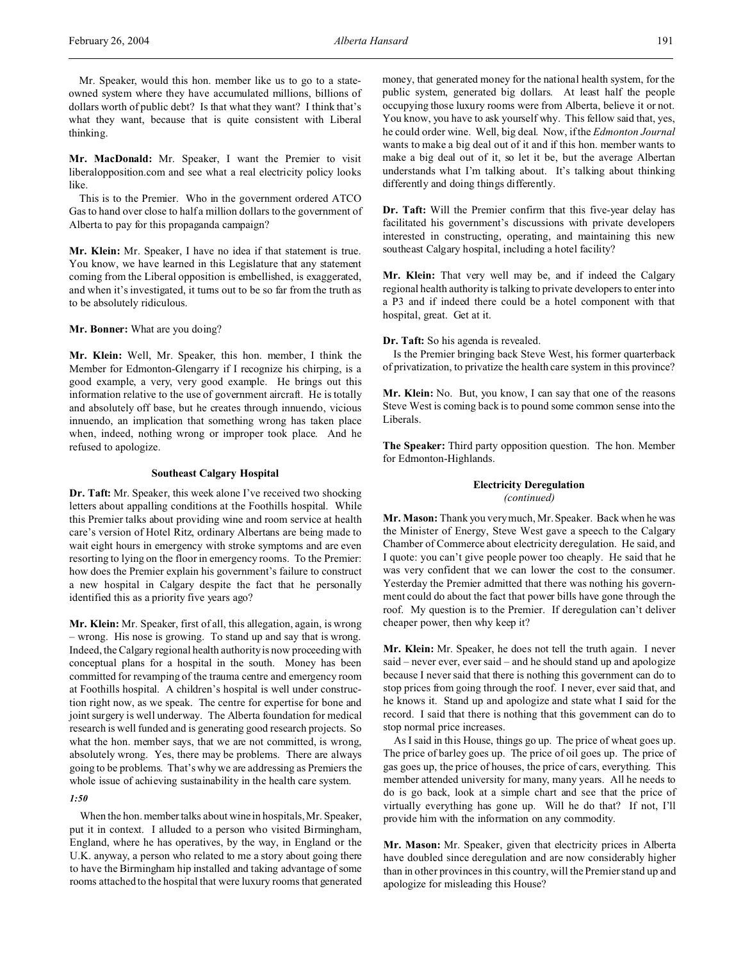Mr. Speaker, would this hon. member like us to go to a stateowned system where they have accumulated millions, billions of dollars worth of public debt? Is that what they want? I think that's what they want, because that is quite consistent with Liberal thinking.

**Mr. MacDonald:** Mr. Speaker, I want the Premier to visit liberalopposition.com and see what a real electricity policy looks like.

This is to the Premier. Who in the government ordered ATCO Gas to hand over close to half a million dollars to the government of Alberta to pay for this propaganda campaign?

**Mr. Klein:** Mr. Speaker, I have no idea if that statement is true. You know, we have learned in this Legislature that any statement coming from the Liberal opposition is embellished, is exaggerated, and when it's investigated, it turns out to be so far from the truth as to be absolutely ridiculous.

**Mr. Bonner:** What are you doing?

**Mr. Klein:** Well, Mr. Speaker, this hon. member, I think the Member for Edmonton-Glengarry if I recognize his chirping, is a good example, a very, very good example. He brings out this information relative to the use of government aircraft. He is totally and absolutely off base, but he creates through innuendo, vicious innuendo, an implication that something wrong has taken place when, indeed, nothing wrong or improper took place. And he refused to apologize.

#### **Southeast Calgary Hospital**

**Dr. Taft:** Mr. Speaker, this week alone I've received two shocking letters about appalling conditions at the Foothills hospital. While this Premier talks about providing wine and room service at health care's version of Hotel Ritz, ordinary Albertans are being made to wait eight hours in emergency with stroke symptoms and are even resorting to lying on the floor in emergency rooms. To the Premier: how does the Premier explain his government's failure to construct a new hospital in Calgary despite the fact that he personally identified this as a priority five years ago?

**Mr. Klein:** Mr. Speaker, first of all, this allegation, again, is wrong – wrong. His nose is growing. To stand up and say that is wrong. Indeed, the Calgary regional health authority is now proceeding with conceptual plans for a hospital in the south. Money has been committed for revamping of the trauma centre and emergency room at Foothills hospital. A children's hospital is well under construction right now, as we speak. The centre for expertise for bone and joint surgery is well underway. The Alberta foundation for medical research is well funded and is generating good research projects. So what the hon. member says, that we are not committed, is wrong, absolutely wrong. Yes, there may be problems. There are always going to be problems. That's why we are addressing as Premiers the whole issue of achieving sustainability in the health care system.

## *1:50*

When the hon. member talks about wine in hospitals, Mr. Speaker, put it in context. I alluded to a person who visited Birmingham, England, where he has operatives, by the way, in England or the U.K. anyway, a person who related to me a story about going there to have the Birmingham hip installed and taking advantage of some rooms attached to the hospital that were luxury rooms that generated money, that generated money for the national health system, for the public system, generated big dollars. At least half the people occupying those luxury rooms were from Alberta, believe it or not. You know, you have to ask yourself why. This fellow said that, yes, he could order wine. Well, big deal. Now, if the *Edmonton Journal* wants to make a big deal out of it and if this hon. member wants to make a big deal out of it, so let it be, but the average Albertan understands what I'm talking about. It's talking about thinking differently and doing things differently.

**Dr. Taft:** Will the Premier confirm that this five-year delay has facilitated his government's discussions with private developers interested in constructing, operating, and maintaining this new southeast Calgary hospital, including a hotel facility?

**Mr. Klein:** That very well may be, and if indeed the Calgary regional health authority is talking to private developers to enter into a P3 and if indeed there could be a hotel component with that hospital, great. Get at it.

**Dr. Taft:** So his agenda is revealed.

Is the Premier bringing back Steve West, his former quarterback of privatization, to privatize the health care system in this province?

**Mr. Klein:** No. But, you know, I can say that one of the reasons Steve West is coming back is to pound some common sense into the Liberals.

**The Speaker:** Third party opposition question. The hon. Member for Edmonton-Highlands.

#### **Electricity Deregulation** *(continued)*

**Mr. Mason:** Thank you very much, Mr. Speaker. Back when he was the Minister of Energy, Steve West gave a speech to the Calgary Chamber of Commerce about electricity deregulation. He said, and I quote: you can't give people power too cheaply. He said that he was very confident that we can lower the cost to the consumer. Yesterday the Premier admitted that there was nothing his government could do about the fact that power bills have gone through the roof. My question is to the Premier. If deregulation can't deliver cheaper power, then why keep it?

**Mr. Klein:** Mr. Speaker, he does not tell the truth again. I never said – never ever, ever said – and he should stand up and apologize because I never said that there is nothing this government can do to stop prices from going through the roof. I never, ever said that, and he knows it. Stand up and apologize and state what I said for the record. I said that there is nothing that this government can do to stop normal price increases.

As I said in this House, things go up. The price of wheat goes up. The price of barley goes up. The price of oil goes up. The price of gas goes up, the price of houses, the price of cars, everything. This member attended university for many, many years. All he needs to do is go back, look at a simple chart and see that the price of virtually everything has gone up. Will he do that? If not, I'll provide him with the information on any commodity.

**Mr. Mason:** Mr. Speaker, given that electricity prices in Alberta have doubled since deregulation and are now considerably higher than in other provinces in this country, will the Premier stand up and apologize for misleading this House?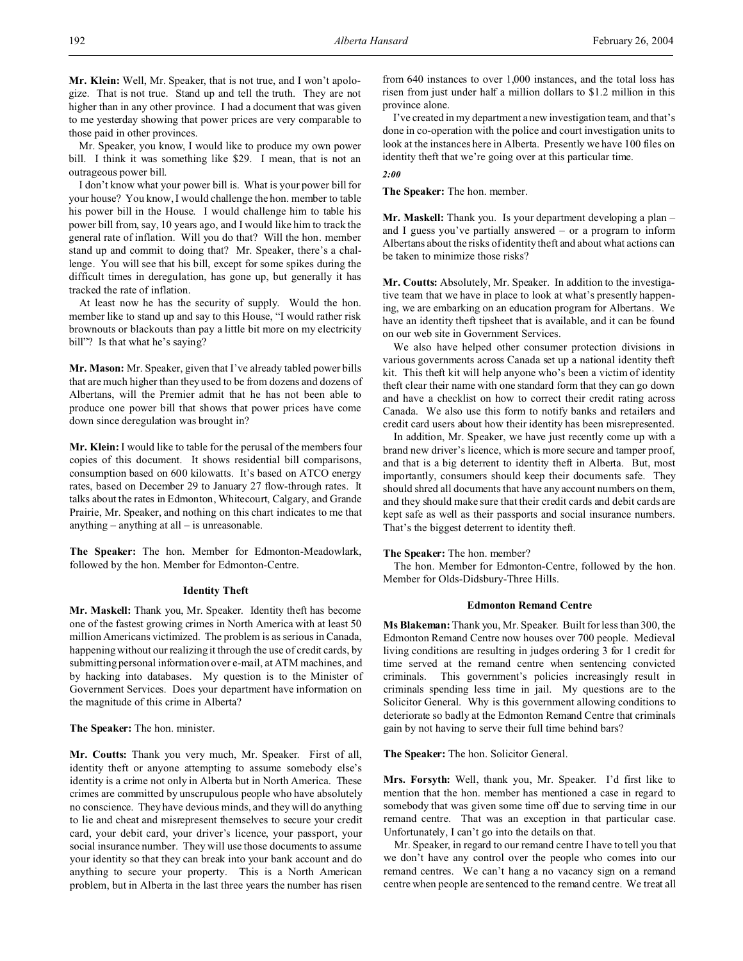**Mr. Klein:** Well, Mr. Speaker, that is not true, and I won't apologize. That is not true. Stand up and tell the truth. They are not higher than in any other province. I had a document that was given to me yesterday showing that power prices are very comparable to those paid in other provinces.

Mr. Speaker, you know, I would like to produce my own power bill. I think it was something like \$29. I mean, that is not an outrageous power bill.

I don't know what your power bill is. What is your power bill for your house? You know, I would challenge the hon. member to table his power bill in the House. I would challenge him to table his power bill from, say, 10 years ago, and I would like him to track the general rate of inflation. Will you do that? Will the hon. member stand up and commit to doing that? Mr. Speaker, there's a challenge. You will see that his bill, except for some spikes during the difficult times in deregulation, has gone up, but generally it has tracked the rate of inflation.

At least now he has the security of supply. Would the hon. member like to stand up and say to this House, "I would rather risk brownouts or blackouts than pay a little bit more on my electricity bill"? Is that what he's saying?

**Mr. Mason:** Mr. Speaker, given that I've already tabled power bills that are much higher than they used to be from dozens and dozens of Albertans, will the Premier admit that he has not been able to produce one power bill that shows that power prices have come down since deregulation was brought in?

**Mr. Klein:** I would like to table for the perusal of the members four copies of this document. It shows residential bill comparisons, consumption based on 600 kilowatts. It's based on ATCO energy rates, based on December 29 to January 27 flow-through rates. It talks about the rates in Edmonton, Whitecourt, Calgary, and Grande Prairie, Mr. Speaker, and nothing on this chart indicates to me that anything – anything at all – is unreasonable.

**The Speaker:** The hon. Member for Edmonton-Meadowlark, followed by the hon. Member for Edmonton-Centre.

#### **Identity Theft**

**Mr. Maskell:** Thank you, Mr. Speaker. Identity theft has become one of the fastest growing crimes in North America with at least 50 million Americans victimized. The problem is as serious in Canada, happening without our realizing it through the use of credit cards, by submitting personal information over e-mail, at ATM machines, and by hacking into databases. My question is to the Minister of Government Services. Does your department have information on the magnitude of this crime in Alberta?

**The Speaker:** The hon. minister.

**Mr. Coutts:** Thank you very much, Mr. Speaker. First of all, identity theft or anyone attempting to assume somebody else's identity is a crime not only in Alberta but in North America. These crimes are committed by unscrupulous people who have absolutely no conscience. They have devious minds, and they will do anything to lie and cheat and misrepresent themselves to secure your credit card, your debit card, your driver's licence, your passport, your social insurance number. They will use those documents to assume your identity so that they can break into your bank account and do anything to secure your property. This is a North American problem, but in Alberta in the last three years the number has risen

from 640 instances to over 1,000 instances, and the total loss has risen from just under half a million dollars to \$1.2 million in this province alone.

I've created in my department a new investigation team, and that's done in co-operation with the police and court investigation units to look at the instances here in Alberta. Presently we have 100 files on identity theft that we're going over at this particular time.

*2:00*

**The Speaker:** The hon. member.

**Mr. Maskell:** Thank you. Is your department developing a plan – and I guess you've partially answered – or a program to inform Albertans about the risks of identity theft and about what actions can be taken to minimize those risks?

**Mr. Coutts:** Absolutely, Mr. Speaker. In addition to the investigative team that we have in place to look at what's presently happening, we are embarking on an education program for Albertans. We have an identity theft tipsheet that is available, and it can be found on our web site in Government Services.

We also have helped other consumer protection divisions in various governments across Canada set up a national identity theft kit. This theft kit will help anyone who's been a victim of identity theft clear their name with one standard form that they can go down and have a checklist on how to correct their credit rating across Canada. We also use this form to notify banks and retailers and credit card users about how their identity has been misrepresented.

In addition, Mr. Speaker, we have just recently come up with a brand new driver's licence, which is more secure and tamper proof, and that is a big deterrent to identity theft in Alberta. But, most importantly, consumers should keep their documents safe. They should shred all documents that have any account numbers on them, and they should make sure that their credit cards and debit cards are kept safe as well as their passports and social insurance numbers. That's the biggest deterrent to identity theft.

#### **The Speaker:** The hon. member?

The hon. Member for Edmonton-Centre, followed by the hon. Member for Olds-Didsbury-Three Hills.

## **Edmonton Remand Centre**

**Ms Blakeman:** Thank you, Mr. Speaker. Built for less than 300, the Edmonton Remand Centre now houses over 700 people. Medieval living conditions are resulting in judges ordering 3 for 1 credit for time served at the remand centre when sentencing convicted criminals. This government's policies increasingly result in criminals spending less time in jail. My questions are to the Solicitor General. Why is this government allowing conditions to deteriorate so badly at the Edmonton Remand Centre that criminals gain by not having to serve their full time behind bars?

**The Speaker:** The hon. Solicitor General.

**Mrs. Forsyth:** Well, thank you, Mr. Speaker. I'd first like to mention that the hon. member has mentioned a case in regard to somebody that was given some time off due to serving time in our remand centre. That was an exception in that particular case. Unfortunately, I can't go into the details on that.

Mr. Speaker, in regard to our remand centre I have to tell you that we don't have any control over the people who comes into our remand centres. We can't hang a no vacancy sign on a remand centre when people are sentenced to the remand centre. We treat all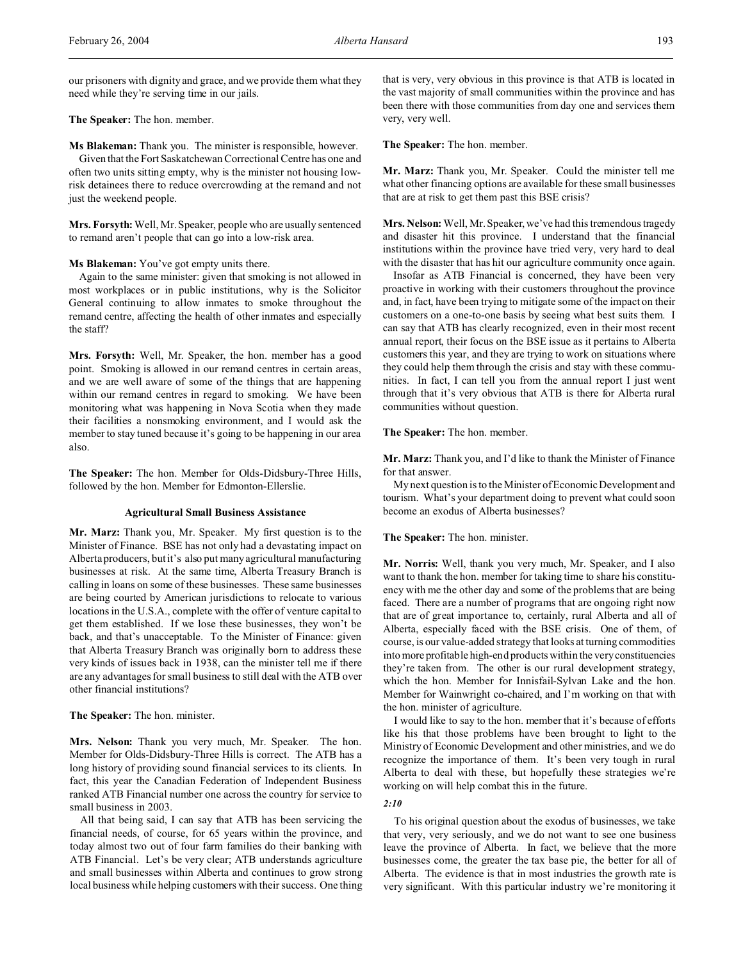our prisoners with dignity and grace, and we provide them what they need while they're serving time in our jails.

## **The Speaker:** The hon. member.

**Ms Blakeman:** Thank you. The minister is responsible, however. Given that the Fort Saskatchewan Correctional Centre has one and often two units sitting empty, why is the minister not housing lowrisk detainees there to reduce overcrowding at the remand and not just the weekend people.

**Mrs. Forsyth:** Well, Mr. Speaker, people who are usually sentenced to remand aren't people that can go into a low-risk area.

#### **Ms Blakeman:** You've got empty units there.

Again to the same minister: given that smoking is not allowed in most workplaces or in public institutions, why is the Solicitor General continuing to allow inmates to smoke throughout the remand centre, affecting the health of other inmates and especially the staff?

**Mrs. Forsyth:** Well, Mr. Speaker, the hon. member has a good point. Smoking is allowed in our remand centres in certain areas, and we are well aware of some of the things that are happening within our remand centres in regard to smoking. We have been monitoring what was happening in Nova Scotia when they made their facilities a nonsmoking environment, and I would ask the member to stay tuned because it's going to be happening in our area also.

**The Speaker:** The hon. Member for Olds-Didsbury-Three Hills, followed by the hon. Member for Edmonton-Ellerslie.

#### **Agricultural Small Business Assistance**

**Mr. Marz:** Thank you, Mr. Speaker. My first question is to the Minister of Finance. BSE has not only had a devastating impact on Alberta producers, but it's also put many agricultural manufacturing businesses at risk. At the same time, Alberta Treasury Branch is calling in loans on some of these businesses. These same businesses are being courted by American jurisdictions to relocate to various locations in the U.S.A., complete with the offer of venture capital to get them established. If we lose these businesses, they won't be back, and that's unacceptable. To the Minister of Finance: given that Alberta Treasury Branch was originally born to address these very kinds of issues back in 1938, can the minister tell me if there are any advantages for small business to still deal with the ATB over other financial institutions?

**The Speaker:** The hon. minister.

**Mrs. Nelson:** Thank you very much, Mr. Speaker. The hon. Member for Olds-Didsbury-Three Hills is correct. The ATB has a long history of providing sound financial services to its clients. In fact, this year the Canadian Federation of Independent Business ranked ATB Financial number one across the country for service to small business in 2003.

All that being said, I can say that ATB has been servicing the financial needs, of course, for 65 years within the province, and today almost two out of four farm families do their banking with ATB Financial. Let's be very clear; ATB understands agriculture and small businesses within Alberta and continues to grow strong local business while helping customers with their success. One thing

that is very, very obvious in this province is that ATB is located in the vast majority of small communities within the province and has been there with those communities from day one and services them very, very well.

**The Speaker:** The hon. member.

**Mr. Marz:** Thank you, Mr. Speaker. Could the minister tell me what other financing options are available for these small businesses that are at risk to get them past this BSE crisis?

**Mrs. Nelson:** Well, Mr. Speaker, we've had this tremendous tragedy and disaster hit this province. I understand that the financial institutions within the province have tried very, very hard to deal with the disaster that has hit our agriculture community once again.

Insofar as ATB Financial is concerned, they have been very proactive in working with their customers throughout the province and, in fact, have been trying to mitigate some of the impact on their customers on a one-to-one basis by seeing what best suits them. I can say that ATB has clearly recognized, even in their most recent annual report, their focus on the BSE issue as it pertains to Alberta customers this year, and they are trying to work on situations where they could help them through the crisis and stay with these communities. In fact, I can tell you from the annual report I just went through that it's very obvious that ATB is there for Alberta rural communities without question.

### **The Speaker:** The hon. member.

**Mr. Marz:** Thank you, and I'd like to thank the Minister of Finance for that answer.

My next question is to the Minister of Economic Development and tourism. What's your department doing to prevent what could soon become an exodus of Alberta businesses?

#### **The Speaker:** The hon. minister.

**Mr. Norris:** Well, thank you very much, Mr. Speaker, and I also want to thank the hon. member for taking time to share his constituency with me the other day and some of the problems that are being faced. There are a number of programs that are ongoing right now that are of great importance to, certainly, rural Alberta and all of Alberta, especially faced with the BSE crisis. One of them, of course, is our value-added strategy that looks at turning commodities into more profitable high-end products within the veryconstituencies they're taken from. The other is our rural development strategy, which the hon. Member for Innisfail-Sylvan Lake and the hon. Member for Wainwright co-chaired, and I'm working on that with the hon. minister of agriculture.

I would like to say to the hon. member that it's because of efforts like his that those problems have been brought to light to the Ministry of Economic Development and other ministries, and we do recognize the importance of them. It's been very tough in rural Alberta to deal with these, but hopefully these strategies we're working on will help combat this in the future.

#### *2:10*

To his original question about the exodus of businesses, we take that very, very seriously, and we do not want to see one business leave the province of Alberta. In fact, we believe that the more businesses come, the greater the tax base pie, the better for all of Alberta. The evidence is that in most industries the growth rate is very significant. With this particular industry we're monitoring it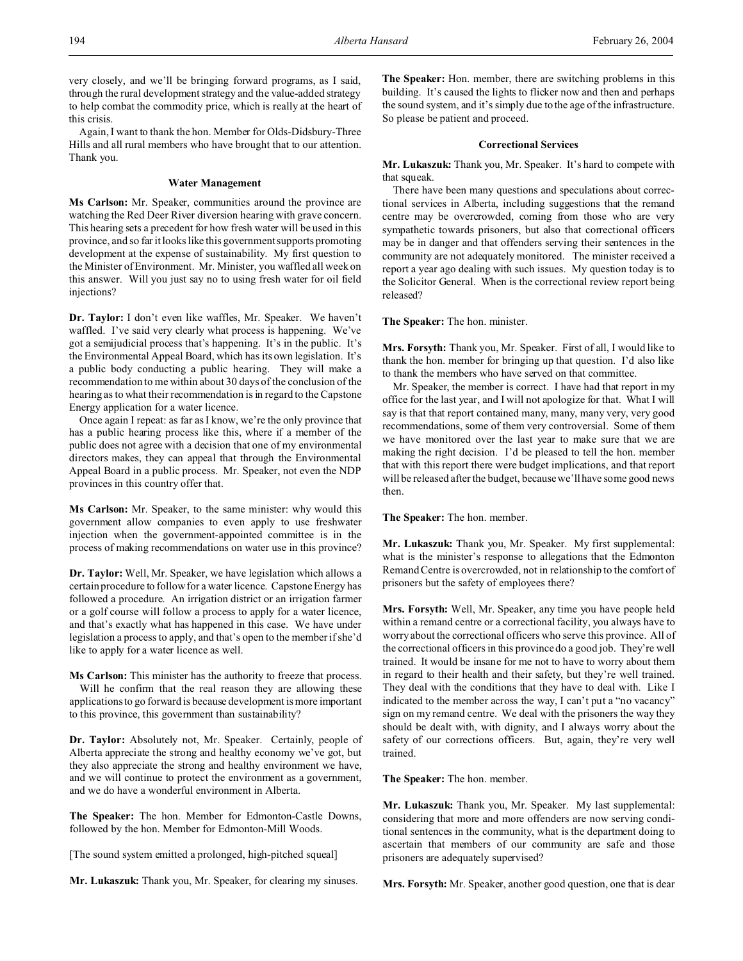very closely, and we'll be bringing forward programs, as I said, through the rural development strategy and the value-added strategy to help combat the commodity price, which is really at the heart of this crisis.

Again, I want to thank the hon. Member for Olds-Didsbury-Three Hills and all rural members who have brought that to our attention. Thank you.

#### **Water Management**

**Ms Carlson:** Mr. Speaker, communities around the province are watching the Red Deer River diversion hearing with grave concern. This hearing sets a precedent for how fresh water will be used in this province, and so far it looks like this government supports promoting development at the expense of sustainability. My first question to the Minister of Environment. Mr. Minister, you waffled all week on this answer. Will you just say no to using fresh water for oil field injections?

**Dr. Taylor:** I don't even like waffles, Mr. Speaker. We haven't waffled. I've said very clearly what process is happening. We've got a semijudicial process that's happening. It's in the public. It's the Environmental Appeal Board, which has its own legislation. It's a public body conducting a public hearing. They will make a recommendation to me within about 30 days of the conclusion of the hearing as to what their recommendation is in regard to the Capstone Energy application for a water licence.

Once again I repeat: as far as I know, we're the only province that has a public hearing process like this, where if a member of the public does not agree with a decision that one of my environmental directors makes, they can appeal that through the Environmental Appeal Board in a public process. Mr. Speaker, not even the NDP provinces in this country offer that.

**Ms Carlson:** Mr. Speaker, to the same minister: why would this government allow companies to even apply to use freshwater injection when the government-appointed committee is in the process of making recommendations on water use in this province?

**Dr. Taylor:** Well, Mr. Speaker, we have legislation which allows a certain procedure to follow for a water licence. Capstone Energy has followed a procedure. An irrigation district or an irrigation farmer or a golf course will follow a process to apply for a water licence, and that's exactly what has happened in this case. We have under legislation a process to apply, and that's open to the member if she'd like to apply for a water licence as well.

**Ms Carlson:** This minister has the authority to freeze that process. Will he confirm that the real reason they are allowing these applications to go forward is because development is more important

to this province, this government than sustainability?

**Dr. Taylor:** Absolutely not, Mr. Speaker. Certainly, people of Alberta appreciate the strong and healthy economy we've got, but they also appreciate the strong and healthy environment we have, and we will continue to protect the environment as a government, and we do have a wonderful environment in Alberta.

**The Speaker:** The hon. Member for Edmonton-Castle Downs, followed by the hon. Member for Edmonton-Mill Woods.

[The sound system emitted a prolonged, high-pitched squeal]

**Mr. Lukaszuk:** Thank you, Mr. Speaker, for clearing my sinuses.

**The Speaker:** Hon. member, there are switching problems in this building. It's caused the lights to flicker now and then and perhaps the sound system, and it's simply due to the age of the infrastructure. So please be patient and proceed.

## **Correctional Services**

**Mr. Lukaszuk:** Thank you, Mr. Speaker. It's hard to compete with that squeak.

There have been many questions and speculations about correctional services in Alberta, including suggestions that the remand centre may be overcrowded, coming from those who are very sympathetic towards prisoners, but also that correctional officers may be in danger and that offenders serving their sentences in the community are not adequately monitored. The minister received a report a year ago dealing with such issues. My question today is to the Solicitor General. When is the correctional review report being released?

**The Speaker:** The hon. minister.

**Mrs. Forsyth:** Thank you, Mr. Speaker. First of all, I would like to thank the hon. member for bringing up that question. I'd also like to thank the members who have served on that committee.

Mr. Speaker, the member is correct. I have had that report in my office for the last year, and I will not apologize for that. What I will say is that that report contained many, many, many very, very good recommendations, some of them very controversial. Some of them we have monitored over the last year to make sure that we are making the right decision. I'd be pleased to tell the hon. member that with this report there were budget implications, and that report will be released after the budget, because we'll have some good news then.

**The Speaker:** The hon. member.

**Mr. Lukaszuk:** Thank you, Mr. Speaker. My first supplemental: what is the minister's response to allegations that the Edmonton Remand Centre is overcrowded, not in relationship to the comfort of prisoners but the safety of employees there?

**Mrs. Forsyth:** Well, Mr. Speaker, any time you have people held within a remand centre or a correctional facility, you always have to worry about the correctional officers who serve this province. All of the correctional officers in this province do a good job. They're well trained. It would be insane for me not to have to worry about them in regard to their health and their safety, but they're well trained. They deal with the conditions that they have to deal with. Like I indicated to the member across the way, I can't put a "no vacancy" sign on my remand centre. We deal with the prisoners the way they should be dealt with, with dignity, and I always worry about the safety of our corrections officers. But, again, they're very well trained.

**The Speaker:** The hon. member.

**Mr. Lukaszuk:** Thank you, Mr. Speaker. My last supplemental: considering that more and more offenders are now serving conditional sentences in the community, what is the department doing to ascertain that members of our community are safe and those prisoners are adequately supervised?

**Mrs. Forsyth:** Mr. Speaker, another good question, one that is dear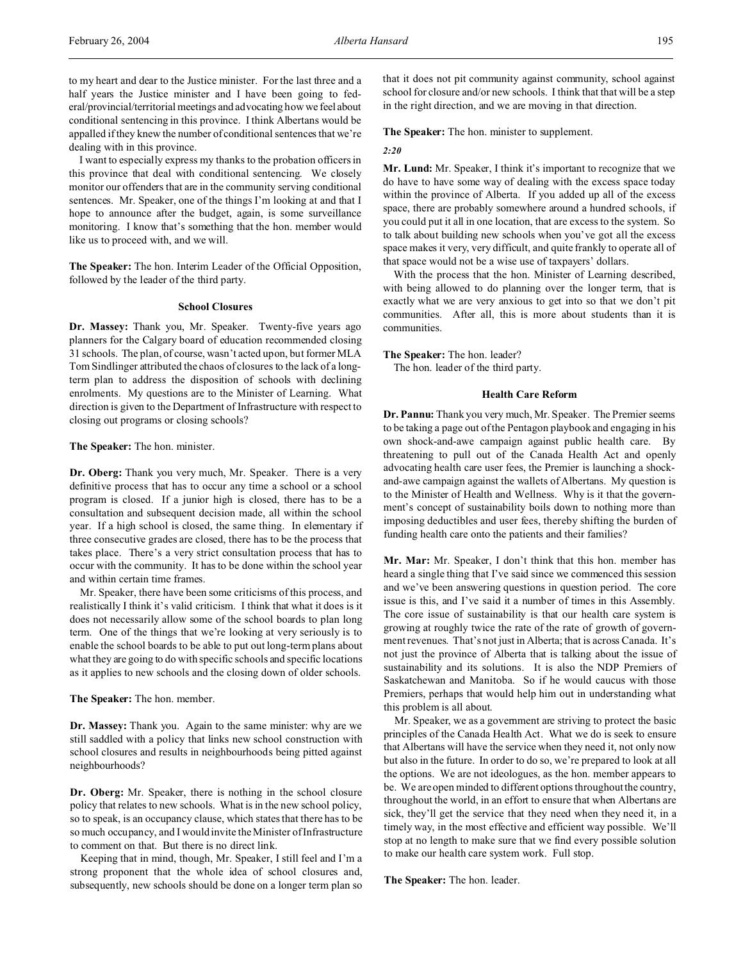to my heart and dear to the Justice minister. For the last three and a half years the Justice minister and I have been going to federal/provincial/territorial meetings and advocating how we feel about conditional sentencing in this province. I think Albertans would be appalled if they knew the number of conditional sentences that we're dealing with in this province.

I want to especially express my thanks to the probation officers in this province that deal with conditional sentencing. We closely monitor our offenders that are in the community serving conditional sentences. Mr. Speaker, one of the things I'm looking at and that I hope to announce after the budget, again, is some surveillance monitoring. I know that's something that the hon. member would like us to proceed with, and we will.

**The Speaker:** The hon. Interim Leader of the Official Opposition, followed by the leader of the third party.

#### **School Closures**

**Dr. Massey:** Thank you, Mr. Speaker. Twenty-five years ago planners for the Calgary board of education recommended closing 31 schools. The plan, of course, wasn't acted upon, but former MLA Tom Sindlinger attributed the chaos of closures to the lack of a longterm plan to address the disposition of schools with declining enrolments. My questions are to the Minister of Learning. What direction is given to the Department of Infrastructure with respect to closing out programs or closing schools?

#### **The Speaker:** The hon. minister.

**Dr. Oberg:** Thank you very much, Mr. Speaker. There is a very definitive process that has to occur any time a school or a school program is closed. If a junior high is closed, there has to be a consultation and subsequent decision made, all within the school year. If a high school is closed, the same thing. In elementary if three consecutive grades are closed, there has to be the process that takes place. There's a very strict consultation process that has to occur with the community. It has to be done within the school year and within certain time frames.

Mr. Speaker, there have been some criticisms of this process, and realistically I think it's valid criticism. I think that what it does is it does not necessarily allow some of the school boards to plan long term. One of the things that we're looking at very seriously is to enable the school boards to be able to put out long-term plans about what they are going to do with specific schools and specific locations as it applies to new schools and the closing down of older schools.

## **The Speaker:** The hon. member.

**Dr. Massey:** Thank you. Again to the same minister: why are we still saddled with a policy that links new school construction with school closures and results in neighbourhoods being pitted against neighbourhoods?

**Dr. Oberg:** Mr. Speaker, there is nothing in the school closure policy that relates to new schools. What is in the new school policy, so to speak, is an occupancy clause, which states that there has to be so much occupancy, and I would invite the Minister of Infrastructure to comment on that. But there is no direct link.

Keeping that in mind, though, Mr. Speaker, I still feel and I'm a strong proponent that the whole idea of school closures and, subsequently, new schools should be done on a longer term plan so

that it does not pit community against community, school against school for closure and/or new schools. I think that that will be a step in the right direction, and we are moving in that direction.

**The Speaker:** The hon. minister to supplement.

#### *2:20*

**Mr. Lund:** Mr. Speaker, I think it's important to recognize that we do have to have some way of dealing with the excess space today within the province of Alberta. If you added up all of the excess space, there are probably somewhere around a hundred schools, if you could put it all in one location, that are excess to the system. So to talk about building new schools when you've got all the excess space makes it very, very difficult, and quite frankly to operate all of that space would not be a wise use of taxpayers' dollars.

With the process that the hon. Minister of Learning described, with being allowed to do planning over the longer term, that is exactly what we are very anxious to get into so that we don't pit communities. After all, this is more about students than it is communities.

**The Speaker:** The hon. leader?

The hon. leader of the third party.

## **Health Care Reform**

**Dr. Pannu:** Thank you very much, Mr. Speaker. The Premier seems to be taking a page out of the Pentagon playbook and engaging in his own shock-and-awe campaign against public health care. By threatening to pull out of the Canada Health Act and openly advocating health care user fees, the Premier is launching a shockand-awe campaign against the wallets of Albertans. My question is to the Minister of Health and Wellness. Why is it that the government's concept of sustainability boils down to nothing more than imposing deductibles and user fees, thereby shifting the burden of funding health care onto the patients and their families?

**Mr. Mar:** Mr. Speaker, I don't think that this hon. member has heard a single thing that I've said since we commenced this session and we've been answering questions in question period. The core issue is this, and I've said it a number of times in this Assembly. The core issue of sustainability is that our health care system is growing at roughly twice the rate of the rate of growth of government revenues. That's not just in Alberta; that is across Canada. It's not just the province of Alberta that is talking about the issue of sustainability and its solutions. It is also the NDP Premiers of Saskatchewan and Manitoba. So if he would caucus with those Premiers, perhaps that would help him out in understanding what this problem is all about.

Mr. Speaker, we as a government are striving to protect the basic principles of the Canada Health Act. What we do is seek to ensure that Albertans will have the service when they need it, not only now but also in the future. In order to do so, we're prepared to look at all the options. We are not ideologues, as the hon. member appears to be. We are open minded to different options throughout the country, throughout the world, in an effort to ensure that when Albertans are sick, they'll get the service that they need when they need it, in a timely way, in the most effective and efficient way possible. We'll stop at no length to make sure that we find every possible solution to make our health care system work. Full stop.

**The Speaker:** The hon. leader.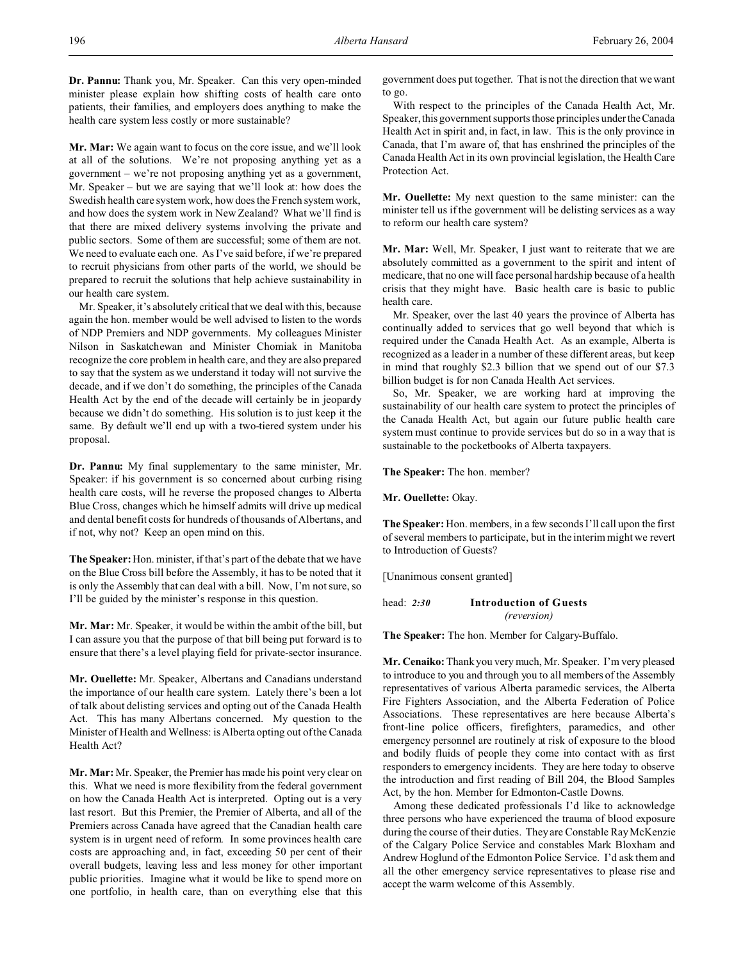**Dr. Pannu:** Thank you, Mr. Speaker. Can this very open-minded minister please explain how shifting costs of health care onto patients, their families, and employers does anything to make the health care system less costly or more sustainable?

**Mr. Mar:** We again want to focus on the core issue, and we'll look at all of the solutions. We're not proposing anything yet as a government – we're not proposing anything yet as a government, Mr. Speaker – but we are saying that we'll look at: how does the Swedish health care system work, how does the French system work, and how does the system work in New Zealand? What we'll find is that there are mixed delivery systems involving the private and public sectors. Some of them are successful; some of them are not. We need to evaluate each one. As I've said before, if we're prepared to recruit physicians from other parts of the world, we should be prepared to recruit the solutions that help achieve sustainability in our health care system.

Mr. Speaker, it's absolutely critical that we deal with this, because again the hon. member would be well advised to listen to the words of NDP Premiers and NDP governments. My colleagues Minister Nilson in Saskatchewan and Minister Chomiak in Manitoba recognize the core problem in health care, and they are also prepared to say that the system as we understand it today will not survive the decade, and if we don't do something, the principles of the Canada Health Act by the end of the decade will certainly be in jeopardy because we didn't do something. His solution is to just keep it the same. By default we'll end up with a two-tiered system under his proposal.

**Dr. Pannu:** My final supplementary to the same minister, Mr. Speaker: if his government is so concerned about curbing rising health care costs, will he reverse the proposed changes to Alberta Blue Cross, changes which he himself admits will drive up medical and dental benefit costs for hundreds of thousands of Albertans, and if not, why not? Keep an open mind on this.

**The Speaker:**Hon. minister, if that's part of the debate that we have on the Blue Cross bill before the Assembly, it has to be noted that it is only the Assembly that can deal with a bill. Now, I'm not sure, so I'll be guided by the minister's response in this question.

**Mr. Mar:** Mr. Speaker, it would be within the ambit of the bill, but I can assure you that the purpose of that bill being put forward is to ensure that there's a level playing field for private-sector insurance.

**Mr. Ouellette:** Mr. Speaker, Albertans and Canadians understand the importance of our health care system. Lately there's been a lot of talk about delisting services and opting out of the Canada Health Act. This has many Albertans concerned. My question to the Minister of Health and Wellness: is Alberta opting out of the Canada Health Act?

**Mr. Mar:** Mr. Speaker, the Premier has made his point very clear on this. What we need is more flexibility from the federal government on how the Canada Health Act is interpreted. Opting out is a very last resort. But this Premier, the Premier of Alberta, and all of the Premiers across Canada have agreed that the Canadian health care system is in urgent need of reform. In some provinces health care costs are approaching and, in fact, exceeding 50 per cent of their overall budgets, leaving less and less money for other important public priorities. Imagine what it would be like to spend more on one portfolio, in health care, than on everything else that this government does put together. That is not the direction that we want to go.

With respect to the principles of the Canada Health Act, Mr. Speaker, this government supports those principles under the Canada Health Act in spirit and, in fact, in law. This is the only province in Canada, that I'm aware of, that has enshrined the principles of the Canada Health Act in its own provincial legislation, the Health Care Protection Act.

**Mr. Ouellette:** My next question to the same minister: can the minister tell us if the government will be delisting services as a way to reform our health care system?

**Mr. Mar:** Well, Mr. Speaker, I just want to reiterate that we are absolutely committed as a government to the spirit and intent of medicare, that no one will face personal hardship because of a health crisis that they might have. Basic health care is basic to public health care.

Mr. Speaker, over the last 40 years the province of Alberta has continually added to services that go well beyond that which is required under the Canada Health Act. As an example, Alberta is recognized as a leader in a number of these different areas, but keep in mind that roughly \$2.3 billion that we spend out of our \$7.3 billion budget is for non Canada Health Act services.

So, Mr. Speaker, we are working hard at improving the sustainability of our health care system to protect the principles of the Canada Health Act, but again our future public health care system must continue to provide services but do so in a way that is sustainable to the pocketbooks of Alberta taxpayers.

**The Speaker:** The hon. member?

**Mr. Ouellette:** Okay.

**The Speaker:** Hon. members, in a few seconds I'll call upon the first of several members to participate, but in the interim might we revert to Introduction of Guests?

[Unanimous consent granted]

head: *2:30* **Introduction of Guests** *(reversion)*

**The Speaker:** The hon. Member for Calgary-Buffalo.

**Mr. Cenaiko:** Thank you very much, Mr. Speaker. I'm very pleased to introduce to you and through you to all members of the Assembly representatives of various Alberta paramedic services, the Alberta Fire Fighters Association, and the Alberta Federation of Police Associations. These representatives are here because Alberta's front-line police officers, firefighters, paramedics, and other emergency personnel are routinely at risk of exposure to the blood and bodily fluids of people they come into contact with as first responders to emergency incidents. They are here today to observe the introduction and first reading of Bill 204, the Blood Samples Act, by the hon. Member for Edmonton-Castle Downs.

Among these dedicated professionals I'd like to acknowledge three persons who have experienced the trauma of blood exposure during the course of their duties. They are Constable Ray McKenzie of the Calgary Police Service and constables Mark Bloxham and Andrew Hoglund of the Edmonton Police Service. I'd ask them and all the other emergency service representatives to please rise and accept the warm welcome of this Assembly.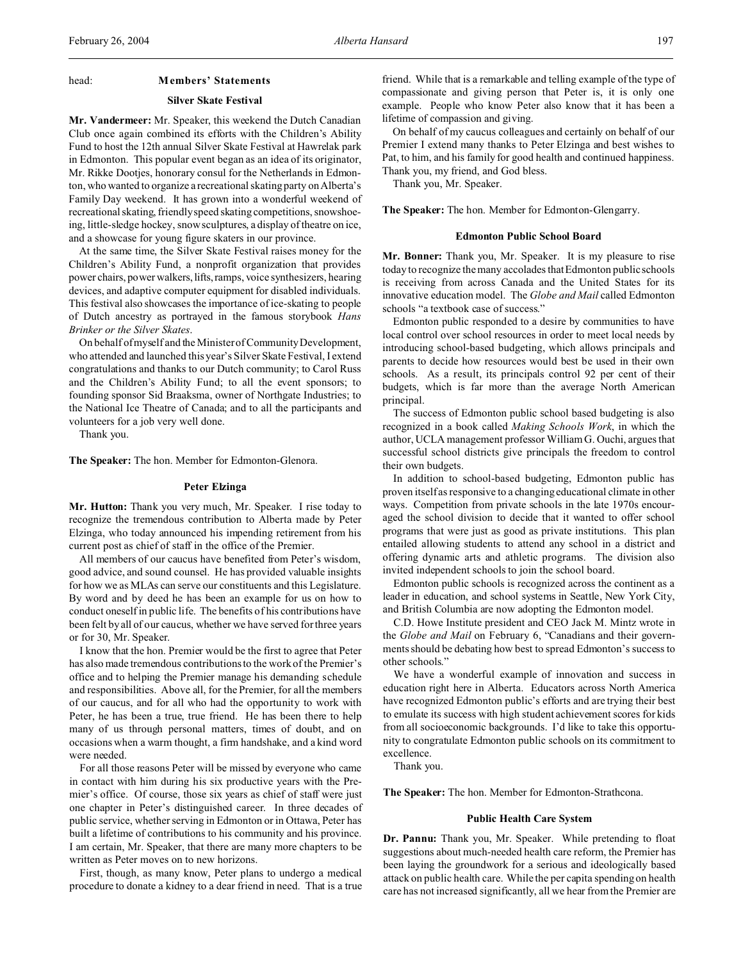## **Silver Skate Festival**

**Mr. Vandermeer:** Mr. Speaker, this weekend the Dutch Canadian Club once again combined its efforts with the Children's Ability Fund to host the 12th annual Silver Skate Festival at Hawrelak park in Edmonton. This popular event began as an idea of its originator, Mr. Rikke Dootjes, honorary consul for the Netherlands in Edmonton, who wanted to organize a recreational skating party on Alberta's Family Day weekend. It has grown into a wonderful weekend of recreational skating, friendly speed skating competitions, snowshoeing, little-sledge hockey, snow sculptures, a display of theatre on ice, and a showcase for young figure skaters in our province.

At the same time, the Silver Skate Festival raises money for the Children's Ability Fund, a nonprofit organization that provides power chairs, power walkers, lifts, ramps, voice synthesizers, hearing devices, and adaptive computer equipment for disabled individuals. This festival also showcases the importance of ice-skating to people of Dutch ancestry as portrayed in the famous storybook *Hans Brinker or the Silver Skates*.

On behalf of myself and the Minister of Community Development, who attended and launched this year's Silver Skate Festival, I extend congratulations and thanks to our Dutch community; to Carol Russ and the Children's Ability Fund; to all the event sponsors; to founding sponsor Sid Braaksma, owner of Northgate Industries; to the National Ice Theatre of Canada; and to all the participants and volunteers for a job very well done.

Thank you.

**The Speaker:** The hon. Member for Edmonton-Glenora.

#### **Peter Elzinga**

**Mr. Hutton:** Thank you very much, Mr. Speaker. I rise today to recognize the tremendous contribution to Alberta made by Peter Elzinga, who today announced his impending retirement from his current post as chief of staff in the office of the Premier.

All members of our caucus have benefited from Peter's wisdom, good advice, and sound counsel. He has provided valuable insights for how we as MLAs can serve our constituents and this Legislature. By word and by deed he has been an example for us on how to conduct oneself in public life. The benefits of his contributions have been felt by all of our caucus, whether we have served for three years or for 30, Mr. Speaker.

I know that the hon. Premier would be the first to agree that Peter has also made tremendous contributions to the work of the Premier's office and to helping the Premier manage his demanding schedule and responsibilities. Above all, for the Premier, for all the members of our caucus, and for all who had the opportunity to work with Peter, he has been a true, true friend. He has been there to help many of us through personal matters, times of doubt, and on occasions when a warm thought, a firm handshake, and a kind word were needed.

For all those reasons Peter will be missed by everyone who came in contact with him during his six productive years with the Premier's office. Of course, those six years as chief of staff were just one chapter in Peter's distinguished career. In three decades of public service, whether serving in Edmonton or in Ottawa, Peter has built a lifetime of contributions to his community and his province. I am certain, Mr. Speaker, that there are many more chapters to be written as Peter moves on to new horizons.

First, though, as many know, Peter plans to undergo a medical procedure to donate a kidney to a dear friend in need. That is a true friend. While that is a remarkable and telling example of the type of compassionate and giving person that Peter is, it is only one example. People who know Peter also know that it has been a lifetime of compassion and giving.

On behalf of my caucus colleagues and certainly on behalf of our Premier I extend many thanks to Peter Elzinga and best wishes to Pat, to him, and his family for good health and continued happiness. Thank you, my friend, and God bless.

Thank you, Mr. Speaker.

**The Speaker:** The hon. Member for Edmonton-Glengarry.

#### **Edmonton Public School Board**

**Mr. Bonner:** Thank you, Mr. Speaker. It is my pleasure to rise today to recognize the many accolades that Edmonton public schools is receiving from across Canada and the United States for its innovative education model. The *Globe and Mail* called Edmonton schools "a textbook case of success."

Edmonton public responded to a desire by communities to have local control over school resources in order to meet local needs by introducing school-based budgeting, which allows principals and parents to decide how resources would best be used in their own schools. As a result, its principals control 92 per cent of their budgets, which is far more than the average North American principal.

The success of Edmonton public school based budgeting is also recognized in a book called *Making Schools Work*, in which the author, UCLA management professor William G. Ouchi, argues that successful school districts give principals the freedom to control their own budgets.

In addition to school-based budgeting, Edmonton public has proven itself as responsive to a changing educational climate in other ways. Competition from private schools in the late 1970s encouraged the school division to decide that it wanted to offer school programs that were just as good as private institutions. This plan entailed allowing students to attend any school in a district and offering dynamic arts and athletic programs. The division also invited independent schools to join the school board.

Edmonton public schools is recognized across the continent as a leader in education, and school systems in Seattle, New York City, and British Columbia are now adopting the Edmonton model.

C.D. Howe Institute president and CEO Jack M. Mintz wrote in the *Globe and Mail* on February 6, "Canadians and their governments should be debating how best to spread Edmonton's success to other schools."

We have a wonderful example of innovation and success in education right here in Alberta. Educators across North America have recognized Edmonton public's efforts and are trying their best to emulate its success with high student achievement scores for kids from all socioeconomic backgrounds. I'd like to take this opportunity to congratulate Edmonton public schools on its commitment to excellence.

Thank you.

**The Speaker:** The hon. Member for Edmonton-Strathcona.

#### **Public Health Care System**

**Dr. Pannu:** Thank you, Mr. Speaker. While pretending to float suggestions about much-needed health care reform, the Premier has been laying the groundwork for a serious and ideologically based attack on public health care. While the per capita spending on health care has not increased significantly, all we hear from the Premier are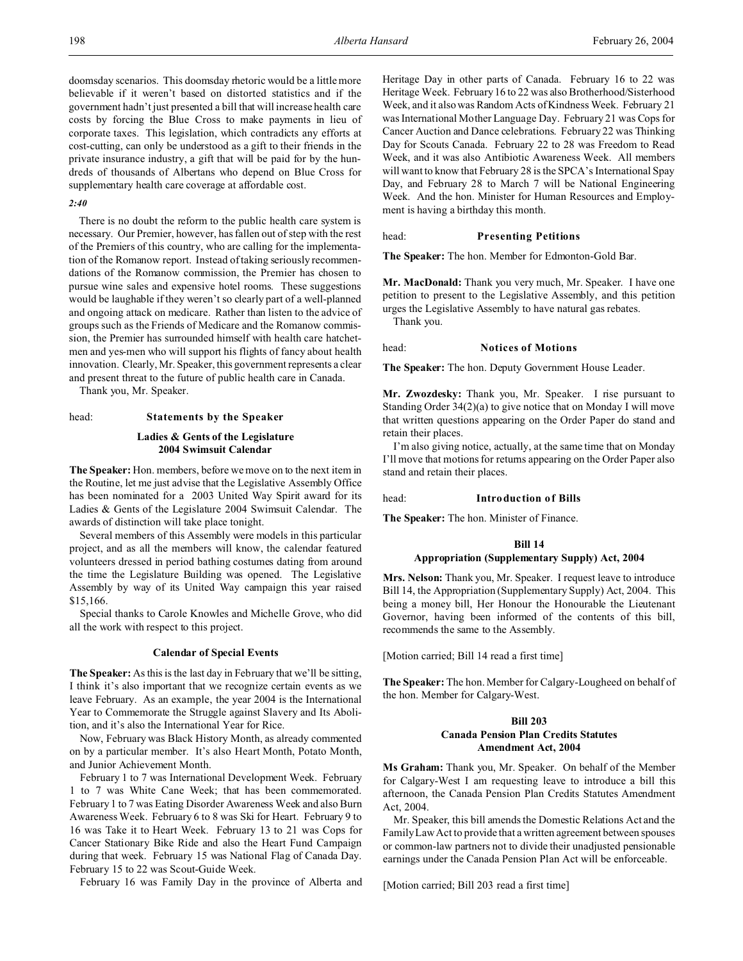doomsday scenarios. This doomsday rhetoric would be a little more believable if it weren't based on distorted statistics and if the government hadn't just presented a bill that will increase health care costs by forcing the Blue Cross to make payments in lieu of corporate taxes. This legislation, which contradicts any efforts at cost-cutting, can only be understood as a gift to their friends in the private insurance industry, a gift that will be paid for by the hundreds of thousands of Albertans who depend on Blue Cross for supplementary health care coverage at affordable cost.

## *2:40*

There is no doubt the reform to the public health care system is necessary. Our Premier, however, has fallen out of step with the rest of the Premiers of this country, who are calling for the implementation of the Romanow report. Instead of taking seriously recommendations of the Romanow commission, the Premier has chosen to pursue wine sales and expensive hotel rooms. These suggestions would be laughable if they weren't so clearly part of a well-planned and ongoing attack on medicare. Rather than listen to the advice of groups such as the Friends of Medicare and the Romanow commission, the Premier has surrounded himself with health care hatchetmen and yes-men who will support his flights of fancy about health innovation. Clearly, Mr. Speaker, this government represents a clear and present threat to the future of public health care in Canada.

Thank you, Mr. Speaker.

#### head: **Statements by the Speaker**

## **Ladies & Gents of the Legislature 2004 Swimsuit Calendar**

**The Speaker:** Hon. members, before we move on to the next item in the Routine, let me just advise that the Legislative Assembly Office has been nominated for a 2003 United Way Spirit award for its Ladies & Gents of the Legislature 2004 Swimsuit Calendar. The awards of distinction will take place tonight.

Several members of this Assembly were models in this particular project, and as all the members will know, the calendar featured volunteers dressed in period bathing costumes dating from around the time the Legislature Building was opened. The Legislative Assembly by way of its United Way campaign this year raised \$15,166.

Special thanks to Carole Knowles and Michelle Grove, who did all the work with respect to this project.

## **Calendar of Special Events**

**The Speaker:** As this is the last day in February that we'll be sitting, I think it's also important that we recognize certain events as we leave February. As an example, the year 2004 is the International Year to Commemorate the Struggle against Slavery and Its Abolition, and it's also the International Year for Rice.

Now, February was Black History Month, as already commented on by a particular member. It's also Heart Month, Potato Month, and Junior Achievement Month.

February 1 to 7 was International Development Week. February 1 to 7 was White Cane Week; that has been commemorated. February 1 to 7 was Eating Disorder Awareness Week and also Burn Awareness Week. February 6 to 8 was Ski for Heart. February 9 to 16 was Take it to Heart Week. February 13 to 21 was Cops for Cancer Stationary Bike Ride and also the Heart Fund Campaign during that week. February 15 was National Flag of Canada Day. February 15 to 22 was Scout-Guide Week.

February 16 was Family Day in the province of Alberta and

Heritage Day in other parts of Canada. February 16 to 22 was Heritage Week. February 16 to 22 was also Brotherhood/Sisterhood Week, and it also was Random Acts of Kindness Week. February 21 was International Mother Language Day. February 21 was Cops for Cancer Auction and Dance celebrations. February 22 was Thinking Day for Scouts Canada. February 22 to 28 was Freedom to Read Week, and it was also Antibiotic Awareness Week. All members will want to know that February 28 is the SPCA's International Spay Day, and February 28 to March 7 will be National Engineering Week. And the hon. Minister for Human Resources and Employment is having a birthday this month.

#### head: **Presenting Petitions**

**The Speaker:** The hon. Member for Edmonton-Gold Bar.

**Mr. MacDonald:** Thank you very much, Mr. Speaker. I have one petition to present to the Legislative Assembly, and this petition urges the Legislative Assembly to have natural gas rebates. Thank you.

## head: **Notices of Motions**

**The Speaker:** The hon. Deputy Government House Leader.

**Mr. Zwozdesky:** Thank you, Mr. Speaker. I rise pursuant to Standing Order 34(2)(a) to give notice that on Monday I will move that written questions appearing on the Order Paper do stand and retain their places.

I'm also giving notice, actually, at the same time that on Monday I'll move that motions for returns appearing on the Order Paper also stand and retain their places.

head: **Introduction of Bills**

**The Speaker:** The hon. Minister of Finance.

#### **Bill 14**

## **Appropriation (Supplementary Supply) Act, 2004**

**Mrs. Nelson:** Thank you, Mr. Speaker. I request leave to introduce Bill 14, the Appropriation (Supplementary Supply) Act, 2004. This being a money bill, Her Honour the Honourable the Lieutenant Governor, having been informed of the contents of this bill, recommends the same to the Assembly.

[Motion carried; Bill 14 read a first time]

**The Speaker:** The hon. Member for Calgary-Lougheed on behalf of the hon. Member for Calgary-West.

## **Bill 203 Canada Pension Plan Credits Statutes Amendment Act, 2004**

**Ms Graham:** Thank you, Mr. Speaker. On behalf of the Member for Calgary-West I am requesting leave to introduce a bill this afternoon, the Canada Pension Plan Credits Statutes Amendment Act, 2004.

Mr. Speaker, this bill amends the Domestic Relations Act and the Family Law Act to provide that a written agreement between spouses or common-law partners not to divide their unadjusted pensionable earnings under the Canada Pension Plan Act will be enforceable.

[Motion carried; Bill 203 read a first time]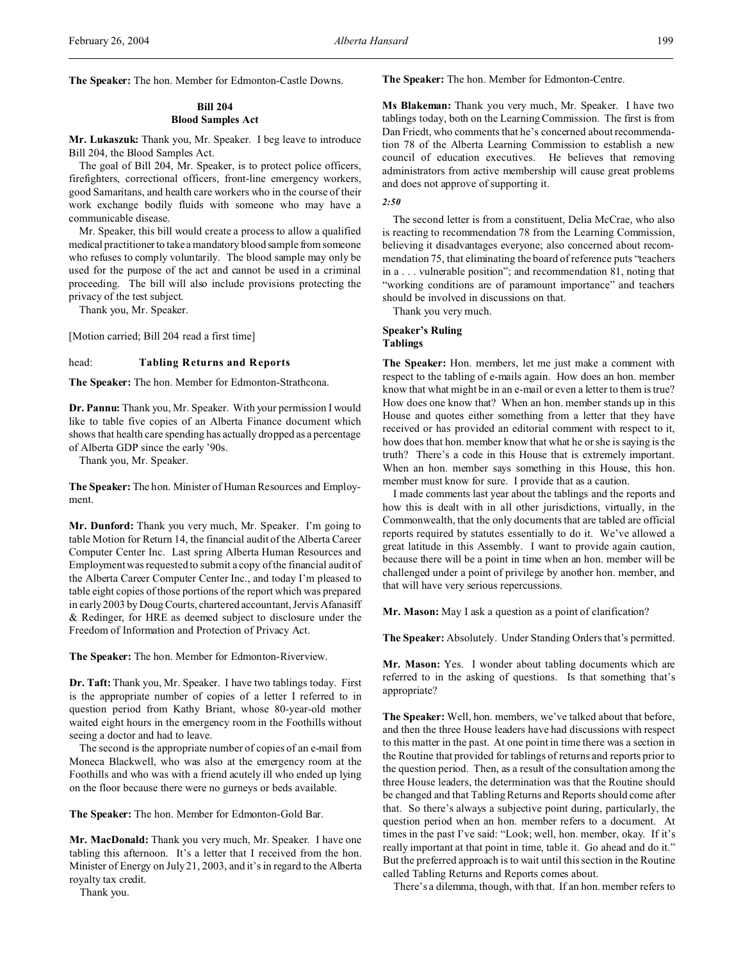**The Speaker:** The hon. Member for Edmonton-Castle Downs.

## **Bill 204 Blood Samples Act**

**Mr. Lukaszuk:** Thank you, Mr. Speaker. I beg leave to introduce Bill 204, the Blood Samples Act.

The goal of Bill 204, Mr. Speaker, is to protect police officers, firefighters, correctional officers, front-line emergency workers, good Samaritans, and health care workers who in the course of their work exchange bodily fluids with someone who may have a communicable disease.

Mr. Speaker, this bill would create a process to allow a qualified medical practitioner to take a mandatory blood sample from someone who refuses to comply voluntarily. The blood sample may only be used for the purpose of the act and cannot be used in a criminal proceeding. The bill will also include provisions protecting the privacy of the test subject.

Thank you, Mr. Speaker.

[Motion carried; Bill 204 read a first time]

#### head: **Tabling Returns and Reports**

**The Speaker:** The hon. Member for Edmonton-Strathcona.

**Dr. Pannu:** Thank you, Mr. Speaker. With your permission I would like to table five copies of an Alberta Finance document which shows that health care spending has actually dropped as a percentage of Alberta GDP since the early '90s.

Thank you, Mr. Speaker.

**The Speaker:** The hon. Minister of Human Resources and Employment.

**Mr. Dunford:** Thank you very much, Mr. Speaker. I'm going to table Motion for Return 14, the financial audit of the Alberta Career Computer Center Inc. Last spring Alberta Human Resources and Employment was requested to submit a copy of the financial audit of the Alberta Career Computer Center Inc., and today I'm pleased to table eight copies of those portions of the report which was prepared in early 2003 by Doug Courts, chartered accountant, Jervis Afanasiff & Redinger, for HRE as deemed subject to disclosure under the Freedom of Information and Protection of Privacy Act.

**The Speaker:** The hon. Member for Edmonton-Riverview.

**Dr. Taft:** Thank you, Mr. Speaker. I have two tablings today. First is the appropriate number of copies of a letter I referred to in question period from Kathy Briant, whose 80-year-old mother waited eight hours in the emergency room in the Foothills without seeing a doctor and had to leave.

The second is the appropriate number of copies of an e-mail from Moneca Blackwell, who was also at the emergency room at the Foothills and who was with a friend acutely ill who ended up lying on the floor because there were no gurneys or beds available.

**The Speaker:** The hon. Member for Edmonton-Gold Bar.

**Mr. MacDonald:** Thank you very much, Mr. Speaker. I have one tabling this afternoon. It's a letter that I received from the hon. Minister of Energy on July 21, 2003, and it's in regard to the Alberta royalty tax credit.

Thank you.

**The Speaker:** The hon. Member for Edmonton-Centre.

**Ms Blakeman:** Thank you very much, Mr. Speaker. I have two tablings today, both on the Learning Commission. The first is from Dan Friedt, who comments that he's concerned about recommendation 78 of the Alberta Learning Commission to establish a new council of education executives. He believes that removing administrators from active membership will cause great problems and does not approve of supporting it.

*2:50*

The second letter is from a constituent, Delia McCrae, who also is reacting to recommendation 78 from the Learning Commission, believing it disadvantages everyone; also concerned about recommendation 75, that eliminating the board of reference puts "teachers in a . . . vulnerable position"; and recommendation 81, noting that "working conditions are of paramount importance" and teachers should be involved in discussions on that.

Thank you very much.

## **Speaker's Ruling Tablings**

**The Speaker:** Hon. members, let me just make a comment with respect to the tabling of e-mails again. How does an hon. member know that what might be in an e-mail or even a letter to them is true? How does one know that? When an hon. member stands up in this House and quotes either something from a letter that they have received or has provided an editorial comment with respect to it, how does that hon. member know that what he or she is saying is the truth? There's a code in this House that is extremely important. When an hon. member says something in this House, this hon. member must know for sure. I provide that as a caution.

I made comments last year about the tablings and the reports and how this is dealt with in all other jurisdictions, virtually, in the Commonwealth, that the only documents that are tabled are official reports required by statutes essentially to do it. We've allowed a great latitude in this Assembly. I want to provide again caution, because there will be a point in time when an hon. member will be challenged under a point of privilege by another hon. member, and that will have very serious repercussions.

**Mr. Mason:** May I ask a question as a point of clarification?

**The Speaker:** Absolutely. Under Standing Orders that's permitted.

**Mr. Mason:** Yes. I wonder about tabling documents which are referred to in the asking of questions. Is that something that's appropriate?

**The Speaker:** Well, hon. members, we've talked about that before, and then the three House leaders have had discussions with respect to this matter in the past. At one point in time there was a section in the Routine that provided for tablings of returns and reports prior to the question period. Then, as a result of the consultation among the three House leaders, the determination was that the Routine should be changed and that Tabling Returns and Reports should come after that. So there's always a subjective point during, particularly, the question period when an hon. member refers to a document. At times in the past I've said: "Look; well, hon. member, okay. If it's really important at that point in time, table it. Go ahead and do it." But the preferred approach is to wait until this section in the Routine called Tabling Returns and Reports comes about.

There's a dilemma, though, with that. If an hon. member refers to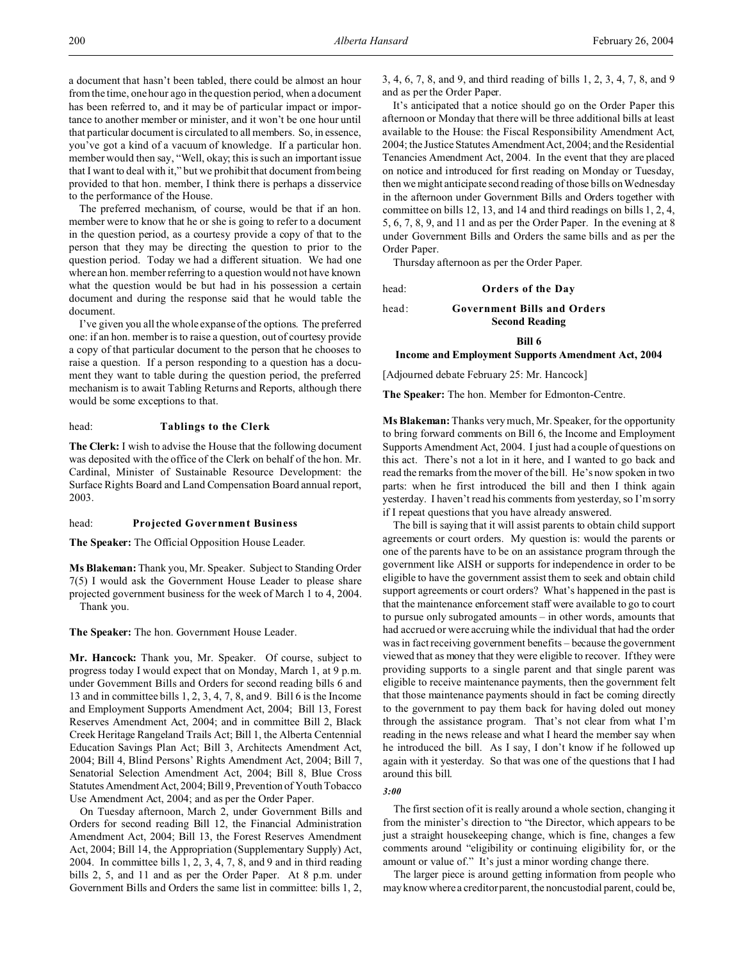a document that hasn't been tabled, there could be almost an hour from the time, one hour ago in the question period, when a document has been referred to, and it may be of particular impact or importance to another member or minister, and it won't be one hour until that particular document is circulated to all members. So, in essence, you've got a kind of a vacuum of knowledge. If a particular hon. member would then say, "Well, okay; this is such an important issue that I want to deal with it," but we prohibit that document from being provided to that hon. member, I think there is perhaps a disservice to the performance of the House.

The preferred mechanism, of course, would be that if an hon. member were to know that he or she is going to refer to a document in the question period, as a courtesy provide a copy of that to the person that they may be directing the question to prior to the question period. Today we had a different situation. We had one where an hon. member referring to a question would not have known what the question would be but had in his possession a certain document and during the response said that he would table the document.

I've given you all the whole expanse of the options. The preferred one: if an hon. member is to raise a question, out of courtesy provide a copy of that particular document to the person that he chooses to raise a question. If a person responding to a question has a document they want to table during the question period, the preferred mechanism is to await Tabling Returns and Reports, although there would be some exceptions to that.

head: **Tablings to the Clerk**

**The Clerk:** I wish to advise the House that the following document was deposited with the office of the Clerk on behalf of the hon. Mr. Cardinal, Minister of Sustainable Resource Development: the Surface Rights Board and Land Compensation Board annual report, 2003.

#### head: **Projected Government Business**

**The Speaker:** The Official Opposition House Leader.

**Ms Blakeman:** Thank you, Mr. Speaker. Subject to Standing Order 7(5) I would ask the Government House Leader to please share projected government business for the week of March 1 to 4, 2004. Thank you.

**The Speaker:** The hon. Government House Leader.

**Mr. Hancock:** Thank you, Mr. Speaker. Of course, subject to progress today I would expect that on Monday, March 1, at 9 p.m. under Government Bills and Orders for second reading bills 6 and 13 and in committee bills 1, 2, 3, 4, 7, 8, and 9. Bill 6 is the Income and Employment Supports Amendment Act, 2004; Bill 13, Forest Reserves Amendment Act, 2004; and in committee Bill 2, Black Creek Heritage Rangeland Trails Act; Bill 1, the Alberta Centennial Education Savings Plan Act; Bill 3, Architects Amendment Act, 2004; Bill 4, Blind Persons' Rights Amendment Act, 2004; Bill 7, Senatorial Selection Amendment Act, 2004; Bill 8, Blue Cross Statutes Amendment Act, 2004; Bill 9, Prevention of Youth Tobacco Use Amendment Act, 2004; and as per the Order Paper.

On Tuesday afternoon, March 2, under Government Bills and Orders for second reading Bill 12, the Financial Administration Amendment Act, 2004; Bill 13, the Forest Reserves Amendment Act, 2004; Bill 14, the Appropriation (Supplementary Supply) Act, 2004. In committee bills 1, 2, 3, 4, 7, 8, and 9 and in third reading bills 2, 5, and 11 and as per the Order Paper. At 8 p.m. under Government Bills and Orders the same list in committee: bills 1, 2, 3, 4, 6, 7, 8, and 9, and third reading of bills 1, 2, 3, 4, 7, 8, and 9 and as per the Order Paper.

It's anticipated that a notice should go on the Order Paper this afternoon or Monday that there will be three additional bills at least available to the House: the Fiscal Responsibility Amendment Act, 2004; the Justice Statutes Amendment Act, 2004; and the Residential Tenancies Amendment Act, 2004. In the event that they are placed on notice and introduced for first reading on Monday or Tuesday, then we might anticipate second reading of those bills on Wednesday in the afternoon under Government Bills and Orders together with committee on bills 12, 13, and 14 and third readings on bills 1, 2, 4, 5, 6, 7, 8, 9, and 11 and as per the Order Paper. In the evening at 8 under Government Bills and Orders the same bills and as per the Order Paper.

Thursday afternoon as per the Order Paper.

head: **Orders of the Day**

head: **Government Bills and Orders Second Reading**

**Bill 6**

#### **Income and Employment Supports Amendment Act, 2004**

[Adjourned debate February 25: Mr. Hancock]

**The Speaker:** The hon. Member for Edmonton-Centre.

**Ms Blakeman:** Thanks very much, Mr. Speaker, for the opportunity to bring forward comments on Bill 6, the Income and Employment Supports Amendment Act, 2004. I just had a couple of questions on this act. There's not a lot in it here, and I wanted to go back and read the remarks from the mover of the bill. He's now spoken in two parts: when he first introduced the bill and then I think again yesterday. I haven't read his comments from yesterday, so I'm sorry if I repeat questions that you have already answered.

The bill is saying that it will assist parents to obtain child support agreements or court orders. My question is: would the parents or one of the parents have to be on an assistance program through the government like AISH or supports for independence in order to be eligible to have the government assist them to seek and obtain child support agreements or court orders? What's happened in the past is that the maintenance enforcement staff were available to go to court to pursue only subrogated amounts – in other words, amounts that had accrued or were accruing while the individual that had the order was in fact receiving government benefits – because the government viewed that as money that they were eligible to recover. If they were providing supports to a single parent and that single parent was eligible to receive maintenance payments, then the government felt that those maintenance payments should in fact be coming directly to the government to pay them back for having doled out money through the assistance program. That's not clear from what I'm reading in the news release and what I heard the member say when he introduced the bill. As I say, I don't know if he followed up again with it yesterday. So that was one of the questions that I had around this bill.

## *3:00*

The first section of it is really around a whole section, changing it from the minister's direction to "the Director, which appears to be just a straight housekeeping change, which is fine, changes a few comments around "eligibility or continuing eligibility for, or the amount or value of." It's just a minor wording change there.

The larger piece is around getting information from people who may know where a creditor parent, the noncustodial parent, could be,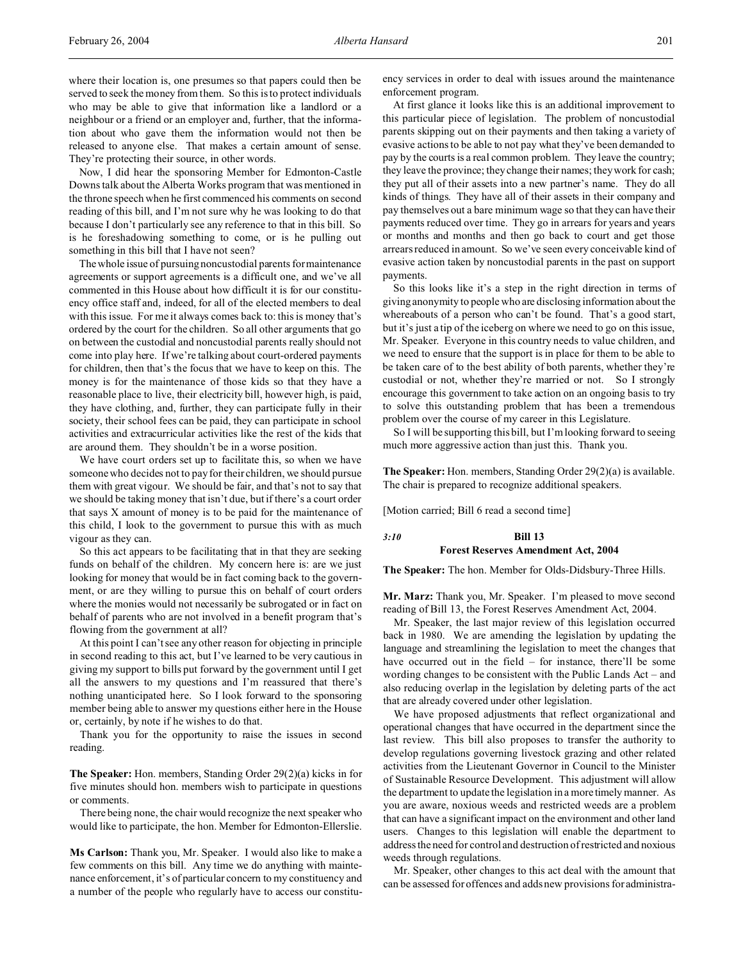where their location is, one presumes so that papers could then be served to seek the money from them. So this is to protect individuals who may be able to give that information like a landlord or a neighbour or a friend or an employer and, further, that the information about who gave them the information would not then be released to anyone else. That makes a certain amount of sense. They're protecting their source, in other words.

Now, I did hear the sponsoring Member for Edmonton-Castle Downs talk about the Alberta Works program that was mentioned in the throne speech when he first commenced his comments on second reading of this bill, and I'm not sure why he was looking to do that because I don't particularly see any reference to that in this bill. So is he foreshadowing something to come, or is he pulling out something in this bill that I have not seen?

The whole issue of pursuing noncustodial parents for maintenance agreements or support agreements is a difficult one, and we've all commented in this House about how difficult it is for our constituency office staff and, indeed, for all of the elected members to deal with this issue. For me it always comes back to: this is money that's ordered by the court for the children. So all other arguments that go on between the custodial and noncustodial parents really should not come into play here. If we're talking about court-ordered payments for children, then that's the focus that we have to keep on this. The money is for the maintenance of those kids so that they have a reasonable place to live, their electricity bill, however high, is paid, they have clothing, and, further, they can participate fully in their society, their school fees can be paid, they can participate in school activities and extracurricular activities like the rest of the kids that are around them. They shouldn't be in a worse position.

We have court orders set up to facilitate this, so when we have someone who decides not to pay for their children, we should pursue them with great vigour. We should be fair, and that's not to say that we should be taking money that isn't due, but if there's a court order that says X amount of money is to be paid for the maintenance of this child, I look to the government to pursue this with as much vigour as they can.

So this act appears to be facilitating that in that they are seeking funds on behalf of the children. My concern here is: are we just looking for money that would be in fact coming back to the government, or are they willing to pursue this on behalf of court orders where the monies would not necessarily be subrogated or in fact on behalf of parents who are not involved in a benefit program that's flowing from the government at all?

At this point I can't see any other reason for objecting in principle in second reading to this act, but I've learned to be very cautious in giving my support to bills put forward by the government until I get all the answers to my questions and I'm reassured that there's nothing unanticipated here. So I look forward to the sponsoring member being able to answer my questions either here in the House or, certainly, by note if he wishes to do that.

Thank you for the opportunity to raise the issues in second reading.

**The Speaker:** Hon. members, Standing Order 29(2)(a) kicks in for five minutes should hon. members wish to participate in questions or comments.

There being none, the chair would recognize the next speaker who would like to participate, the hon. Member for Edmonton-Ellerslie.

**Ms Carlson:** Thank you, Mr. Speaker. I would also like to make a few comments on this bill. Any time we do anything with maintenance enforcement, it's of particular concern to my constituency and a number of the people who regularly have to access our constitu-

ency services in order to deal with issues around the maintenance enforcement program.

At first glance it looks like this is an additional improvement to this particular piece of legislation. The problem of noncustodial parents skipping out on their payments and then taking a variety of evasive actions to be able to not pay what they've been demanded to pay by the courts is a real common problem. They leave the country; they leave the province; they change their names; they work for cash; they put all of their assets into a new partner's name. They do all kinds of things. They have all of their assets in their company and pay themselves out a bare minimum wage so that they can have their payments reduced over time. They go in arrears for years and years or months and months and then go back to court and get those arrears reduced in amount. So we've seen every conceivable kind of evasive action taken by noncustodial parents in the past on support payments.

So this looks like it's a step in the right direction in terms of giving anonymity to people who are disclosing information about the whereabouts of a person who can't be found. That's a good start, but it's just a tip of the iceberg on where we need to go on this issue, Mr. Speaker. Everyone in this country needs to value children, and we need to ensure that the support is in place for them to be able to be taken care of to the best ability of both parents, whether they're custodial or not, whether they're married or not. So I strongly encourage this government to take action on an ongoing basis to try to solve this outstanding problem that has been a tremendous problem over the course of my career in this Legislature.

So I will be supporting this bill, but I'm looking forward to seeing much more aggressive action than just this. Thank you.

**The Speaker:** Hon. members, Standing Order 29(2)(a) is available. The chair is prepared to recognize additional speakers.

[Motion carried; Bill 6 read a second time]

#### *3:10* **Bill 13 Forest Reserves Amendment Act, 2004**

**The Speaker:** The hon. Member for Olds-Didsbury-Three Hills.

**Mr. Marz:** Thank you, Mr. Speaker. I'm pleased to move second reading of Bill 13, the Forest Reserves Amendment Act, 2004.

Mr. Speaker, the last major review of this legislation occurred back in 1980. We are amending the legislation by updating the language and streamlining the legislation to meet the changes that have occurred out in the field – for instance, there'll be some wording changes to be consistent with the Public Lands Act – and also reducing overlap in the legislation by deleting parts of the act that are already covered under other legislation.

We have proposed adjustments that reflect organizational and operational changes that have occurred in the department since the last review. This bill also proposes to transfer the authority to develop regulations governing livestock grazing and other related activities from the Lieutenant Governor in Council to the Minister of Sustainable Resource Development. This adjustment will allow the department to update the legislation in a more timely manner. As you are aware, noxious weeds and restricted weeds are a problem that can have a significant impact on the environment and other land users. Changes to this legislation will enable the department to address the need for control and destruction of restricted and noxious weeds through regulations.

Mr. Speaker, other changes to this act deal with the amount that can be assessed for offences and adds new provisions for administra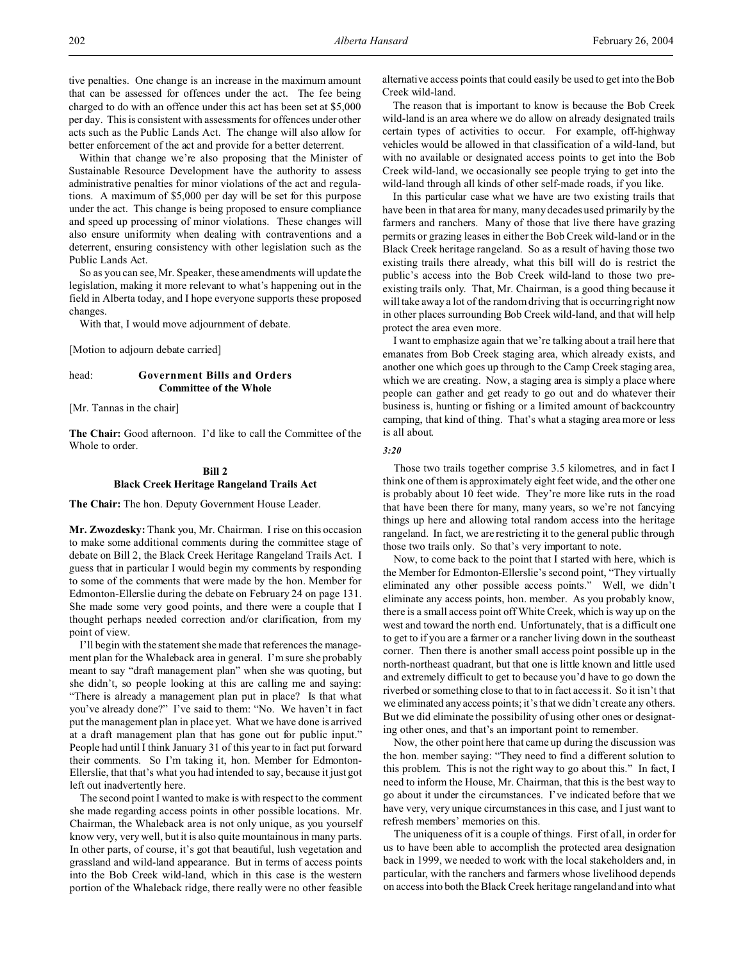tive penalties. One change is an increase in the maximum amount that can be assessed for offences under the act. The fee being charged to do with an offence under this act has been set at \$5,000 per day. This is consistent with assessments for offences under other acts such as the Public Lands Act. The change will also allow for better enforcement of the act and provide for a better deterrent.

Within that change we're also proposing that the Minister of Sustainable Resource Development have the authority to assess administrative penalties for minor violations of the act and regulations. A maximum of \$5,000 per day will be set for this purpose under the act. This change is being proposed to ensure compliance and speed up processing of minor violations. These changes will also ensure uniformity when dealing with contraventions and a deterrent, ensuring consistency with other legislation such as the Public Lands Act.

So as you can see, Mr. Speaker, these amendments will update the legislation, making it more relevant to what's happening out in the field in Alberta today, and I hope everyone supports these proposed changes.

With that, I would move adjournment of debate.

[Motion to adjourn debate carried]

## head: **Government Bills and Orders Committee of the Whole**

[Mr. Tannas in the chair]

**The Chair:** Good afternoon. I'd like to call the Committee of the Whole to order.

## **Bill 2 Black Creek Heritage Rangeland Trails Act**

**The Chair:** The hon. Deputy Government House Leader.

**Mr. Zwozdesky:** Thank you, Mr. Chairman. I rise on this occasion to make some additional comments during the committee stage of debate on Bill 2, the Black Creek Heritage Rangeland Trails Act. I guess that in particular I would begin my comments by responding to some of the comments that were made by the hon. Member for Edmonton-Ellerslie during the debate on February 24 on page 131. She made some very good points, and there were a couple that I thought perhaps needed correction and/or clarification, from my point of view.

I'll begin with the statement she made that references the management plan for the Whaleback area in general. I'm sure she probably meant to say "draft management plan" when she was quoting, but she didn't, so people looking at this are calling me and saying: "There is already a management plan put in place? Is that what you've already done?" I've said to them: "No. We haven't in fact put the management plan in place yet. What we have done is arrived at a draft management plan that has gone out for public input." People had until I think January 31 of this year to in fact put forward their comments. So I'm taking it, hon. Member for Edmonton-Ellerslie, that that's what you had intended to say, because it just got left out inadvertently here.

The second point I wanted to make is with respect to the comment she made regarding access points in other possible locations. Mr. Chairman, the Whaleback area is not only unique, as you yourself know very, very well, but it is also quite mountainous in many parts. In other parts, of course, it's got that beautiful, lush vegetation and grassland and wild-land appearance. But in terms of access points into the Bob Creek wild-land, which in this case is the western portion of the Whaleback ridge, there really were no other feasible

alternative access points that could easily be used to get into the Bob Creek wild-land.

The reason that is important to know is because the Bob Creek wild-land is an area where we do allow on already designated trails certain types of activities to occur. For example, off-highway vehicles would be allowed in that classification of a wild-land, but with no available or designated access points to get into the Bob Creek wild-land, we occasionally see people trying to get into the wild-land through all kinds of other self-made roads, if you like.

In this particular case what we have are two existing trails that have been in that area for many, many decades used primarily by the farmers and ranchers. Many of those that live there have grazing permits or grazing leases in either the Bob Creek wild-land or in the Black Creek heritage rangeland. So as a result of having those two existing trails there already, what this bill will do is restrict the public's access into the Bob Creek wild-land to those two preexisting trails only. That, Mr. Chairman, is a good thing because it will take away a lot of the random driving that is occurring right now in other places surrounding Bob Creek wild-land, and that will help protect the area even more.

I want to emphasize again that we're talking about a trail here that emanates from Bob Creek staging area, which already exists, and another one which goes up through to the Camp Creek staging area, which we are creating. Now, a staging area is simply a place where people can gather and get ready to go out and do whatever their business is, hunting or fishing or a limited amount of backcountry camping, that kind of thing. That's what a staging area more or less is all about.

*3:20*

Those two trails together comprise 3.5 kilometres, and in fact I think one of them is approximately eight feet wide, and the other one is probably about 10 feet wide. They're more like ruts in the road that have been there for many, many years, so we're not fancying things up here and allowing total random access into the heritage rangeland. In fact, we are restricting it to the general public through those two trails only. So that's very important to note.

Now, to come back to the point that I started with here, which is the Member for Edmonton-Ellerslie's second point, "They virtually eliminated any other possible access points." Well, we didn't eliminate any access points, hon. member. As you probably know, there is a small access point off White Creek, which is way up on the west and toward the north end. Unfortunately, that is a difficult one to get to if you are a farmer or a rancher living down in the southeast corner. Then there is another small access point possible up in the north-northeast quadrant, but that one is little known and little used and extremely difficult to get to because you'd have to go down the riverbed or something close to that to in fact access it. So it isn't that we eliminated any access points; it's that we didn't create any others. But we did eliminate the possibility of using other ones or designating other ones, and that's an important point to remember.

Now, the other point here that came up during the discussion was the hon. member saying: "They need to find a different solution to this problem. This is not the right way to go about this." In fact, I need to inform the House, Mr. Chairman, that this is the best way to go about it under the circumstances. I've indicated before that we have very, very unique circumstances in this case, and I just want to refresh members' memories on this.

The uniqueness of it is a couple of things. First of all, in order for us to have been able to accomplish the protected area designation back in 1999, we needed to work with the local stakeholders and, in particular, with the ranchers and farmers whose livelihood depends on access into both the Black Creek heritage rangeland and into what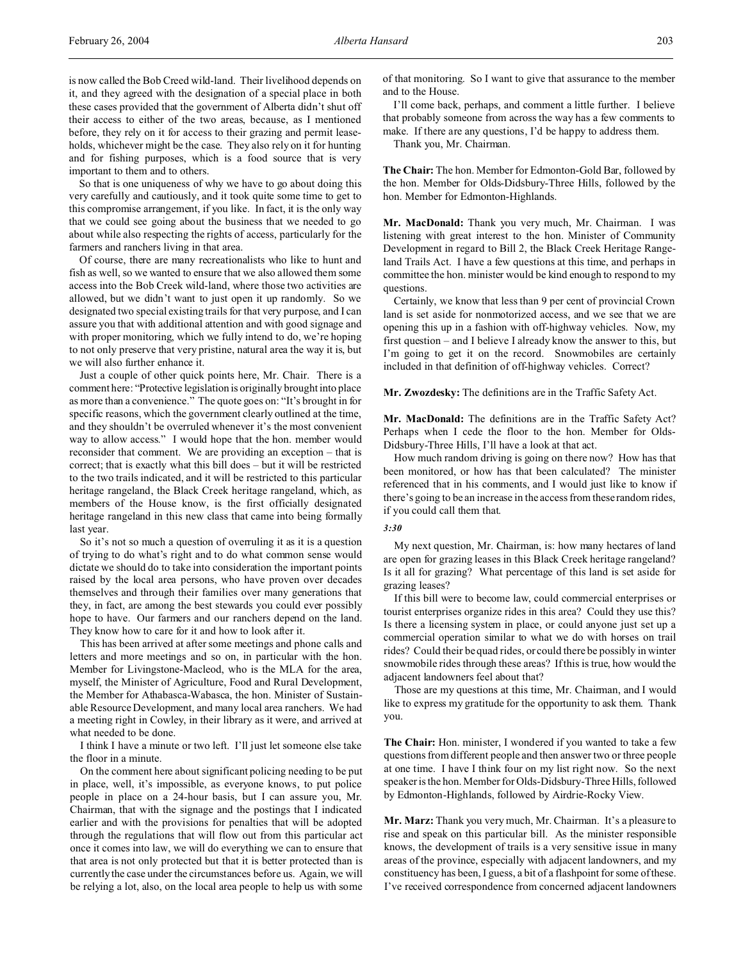is now called the Bob Creed wild-land. Their livelihood depends on it, and they agreed with the designation of a special place in both these cases provided that the government of Alberta didn't shut off their access to either of the two areas, because, as I mentioned before, they rely on it for access to their grazing and permit leaseholds, whichever might be the case. They also rely on it for hunting and for fishing purposes, which is a food source that is very important to them and to others.

So that is one uniqueness of why we have to go about doing this very carefully and cautiously, and it took quite some time to get to this compromise arrangement, if you like. In fact, it is the only way that we could see going about the business that we needed to go about while also respecting the rights of access, particularly for the farmers and ranchers living in that area.

Of course, there are many recreationalists who like to hunt and fish as well, so we wanted to ensure that we also allowed them some access into the Bob Creek wild-land, where those two activities are allowed, but we didn't want to just open it up randomly. So we designated two special existing trails for that very purpose, and I can assure you that with additional attention and with good signage and with proper monitoring, which we fully intend to do, we're hoping to not only preserve that very pristine, natural area the way it is, but we will also further enhance it.

Just a couple of other quick points here, Mr. Chair. There is a comment here: "Protective legislation is originally brought into place as more than a convenience." The quote goes on: "It's brought in for specific reasons, which the government clearly outlined at the time, and they shouldn't be overruled whenever it's the most convenient way to allow access." I would hope that the hon. member would reconsider that comment. We are providing an exception – that is correct; that is exactly what this bill does – but it will be restricted to the two trails indicated, and it will be restricted to this particular heritage rangeland, the Black Creek heritage rangeland, which, as members of the House know, is the first officially designated heritage rangeland in this new class that came into being formally last year.

So it's not so much a question of overruling it as it is a question of trying to do what's right and to do what common sense would dictate we should do to take into consideration the important points raised by the local area persons, who have proven over decades themselves and through their families over many generations that they, in fact, are among the best stewards you could ever possibly hope to have. Our farmers and our ranchers depend on the land. They know how to care for it and how to look after it.

This has been arrived at after some meetings and phone calls and letters and more meetings and so on, in particular with the hon. Member for Livingstone-Macleod, who is the MLA for the area, myself, the Minister of Agriculture, Food and Rural Development, the Member for Athabasca-Wabasca, the hon. Minister of Sustainable Resource Development, and many local area ranchers. We had a meeting right in Cowley, in their library as it were, and arrived at what needed to be done.

I think I have a minute or two left. I'll just let someone else take the floor in a minute.

On the comment here about significant policing needing to be put in place, well, it's impossible, as everyone knows, to put police people in place on a 24-hour basis, but I can assure you, Mr. Chairman, that with the signage and the postings that I indicated earlier and with the provisions for penalties that will be adopted through the regulations that will flow out from this particular act once it comes into law, we will do everything we can to ensure that that area is not only protected but that it is better protected than is currently the case under the circumstances before us. Again, we will be relying a lot, also, on the local area people to help us with some

of that monitoring. So I want to give that assurance to the member and to the House.

I'll come back, perhaps, and comment a little further. I believe that probably someone from across the way has a few comments to make. If there are any questions, I'd be happy to address them.

Thank you, Mr. Chairman.

**The Chair:** The hon. Member for Edmonton-Gold Bar, followed by the hon. Member for Olds-Didsbury-Three Hills, followed by the hon. Member for Edmonton-Highlands.

**Mr. MacDonald:** Thank you very much, Mr. Chairman. I was listening with great interest to the hon. Minister of Community Development in regard to Bill 2, the Black Creek Heritage Rangeland Trails Act. I have a few questions at this time, and perhaps in committee the hon. minister would be kind enough to respond to my questions.

Certainly, we know that less than 9 per cent of provincial Crown land is set aside for nonmotorized access, and we see that we are opening this up in a fashion with off-highway vehicles. Now, my first question – and I believe I already know the answer to this, but I'm going to get it on the record. Snowmobiles are certainly included in that definition of off-highway vehicles. Correct?

**Mr. Zwozdesky:** The definitions are in the Traffic Safety Act.

**Mr. MacDonald:** The definitions are in the Traffic Safety Act? Perhaps when I cede the floor to the hon. Member for Olds-Didsbury-Three Hills, I'll have a look at that act.

How much random driving is going on there now? How has that been monitored, or how has that been calculated? The minister referenced that in his comments, and I would just like to know if there's going to be an increase in the access from these random rides, if you could call them that.

#### *3:30*

My next question, Mr. Chairman, is: how many hectares of land are open for grazing leases in this Black Creek heritage rangeland? Is it all for grazing? What percentage of this land is set aside for grazing leases?

If this bill were to become law, could commercial enterprises or tourist enterprises organize rides in this area? Could they use this? Is there a licensing system in place, or could anyone just set up a commercial operation similar to what we do with horses on trail rides? Could their be quad rides, or could there be possibly in winter snowmobile rides through these areas? If this is true, how would the adjacent landowners feel about that?

Those are my questions at this time, Mr. Chairman, and I would like to express my gratitude for the opportunity to ask them. Thank you.

**The Chair:** Hon. minister, I wondered if you wanted to take a few questions from different people and then answer two or three people at one time. I have I think four on my list right now. So the next speaker is the hon. Member for Olds-Didsbury-Three Hills, followed by Edmonton-Highlands, followed by Airdrie-Rocky View.

**Mr. Marz:** Thank you very much, Mr. Chairman. It's a pleasure to rise and speak on this particular bill. As the minister responsible knows, the development of trails is a very sensitive issue in many areas of the province, especially with adjacent landowners, and my constituency has been, I guess, a bit of a flashpoint for some of these. I've received correspondence from concerned adjacent landowners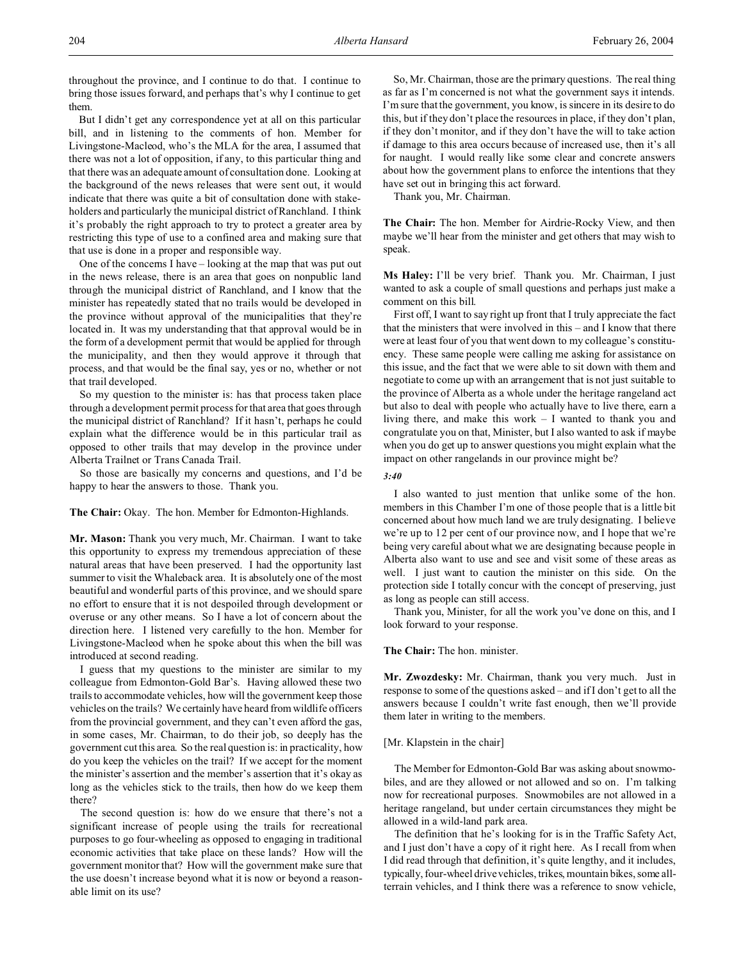throughout the province, and I continue to do that. I continue to bring those issues forward, and perhaps that's why I continue to get them.

But I didn't get any correspondence yet at all on this particular bill, and in listening to the comments of hon. Member for Livingstone-Macleod, who's the MLA for the area, I assumed that there was not a lot of opposition, if any, to this particular thing and that there was an adequate amount of consultation done. Looking at the background of the news releases that were sent out, it would indicate that there was quite a bit of consultation done with stakeholders and particularly the municipal district of Ranchland. I think it's probably the right approach to try to protect a greater area by restricting this type of use to a confined area and making sure that that use is done in a proper and responsible way.

One of the concerns I have – looking at the map that was put out in the news release, there is an area that goes on nonpublic land through the municipal district of Ranchland, and I know that the minister has repeatedly stated that no trails would be developed in the province without approval of the municipalities that they're located in. It was my understanding that that approval would be in the form of a development permit that would be applied for through the municipality, and then they would approve it through that process, and that would be the final say, yes or no, whether or not that trail developed.

So my question to the minister is: has that process taken place through a development permit process for that area that goes through the municipal district of Ranchland? If it hasn't, perhaps he could explain what the difference would be in this particular trail as opposed to other trails that may develop in the province under Alberta Trailnet or Trans Canada Trail.

So those are basically my concerns and questions, and I'd be happy to hear the answers to those. Thank you.

**The Chair:** Okay. The hon. Member for Edmonton-Highlands.

**Mr. Mason:** Thank you very much, Mr. Chairman. I want to take this opportunity to express my tremendous appreciation of these natural areas that have been preserved. I had the opportunity last summer to visit the Whaleback area. It is absolutely one of the most beautiful and wonderful parts of this province, and we should spare no effort to ensure that it is not despoiled through development or overuse or any other means. So I have a lot of concern about the direction here. I listened very carefully to the hon. Member for Livingstone-Macleod when he spoke about this when the bill was introduced at second reading.

I guess that my questions to the minister are similar to my colleague from Edmonton-Gold Bar's. Having allowed these two trails to accommodate vehicles, how will the government keep those vehicles on the trails? We certainly have heard from wildlife officers from the provincial government, and they can't even afford the gas, in some cases, Mr. Chairman, to do their job, so deeply has the government cut this area. So the real question is: in practicality, how do you keep the vehicles on the trail? If we accept for the moment the minister's assertion and the member's assertion that it's okay as long as the vehicles stick to the trails, then how do we keep them there?

The second question is: how do we ensure that there's not a significant increase of people using the trails for recreational purposes to go four-wheeling as opposed to engaging in traditional economic activities that take place on these lands? How will the government monitor that? How will the government make sure that the use doesn't increase beyond what it is now or beyond a reasonable limit on its use?

So, Mr. Chairman, those are the primary questions. The real thing as far as I'm concerned is not what the government says it intends. I'm sure that the government, you know, is sincere in its desire to do this, but if they don't place the resources in place, if they don't plan, if they don't monitor, and if they don't have the will to take action if damage to this area occurs because of increased use, then it's all for naught. I would really like some clear and concrete answers about how the government plans to enforce the intentions that they have set out in bringing this act forward.

Thank you, Mr. Chairman.

**The Chair:** The hon. Member for Airdrie-Rocky View, and then maybe we'll hear from the minister and get others that may wish to speak.

**Ms Haley:** I'll be very brief. Thank you. Mr. Chairman, I just wanted to ask a couple of small questions and perhaps just make a comment on this bill.

First off, I want to say right up front that I truly appreciate the fact that the ministers that were involved in this – and I know that there were at least four of you that went down to my colleague's constituency. These same people were calling me asking for assistance on this issue, and the fact that we were able to sit down with them and negotiate to come up with an arrangement that is not just suitable to the province of Alberta as a whole under the heritage rangeland act but also to deal with people who actually have to live there, earn a living there, and make this work – I wanted to thank you and congratulate you on that, Minister, but I also wanted to ask if maybe when you do get up to answer questions you might explain what the impact on other rangelands in our province might be?

*3:40*

I also wanted to just mention that unlike some of the hon. members in this Chamber I'm one of those people that is a little bit concerned about how much land we are truly designating. I believe we're up to 12 per cent of our province now, and I hope that we're being very careful about what we are designating because people in Alberta also want to use and see and visit some of these areas as well. I just want to caution the minister on this side. On the protection side I totally concur with the concept of preserving, just as long as people can still access.

Thank you, Minister, for all the work you've done on this, and I look forward to your response.

**The Chair:** The hon. minister.

**Mr. Zwozdesky:** Mr. Chairman, thank you very much. Just in response to some of the questions asked – and if I don't get to all the answers because I couldn't write fast enough, then we'll provide them later in writing to the members.

## [Mr. Klapstein in the chair]

The Member for Edmonton-Gold Bar was asking about snowmobiles, and are they allowed or not allowed and so on. I'm talking now for recreational purposes. Snowmobiles are not allowed in a heritage rangeland, but under certain circumstances they might be allowed in a wild-land park area.

The definition that he's looking for is in the Traffic Safety Act, and I just don't have a copy of it right here. As I recall from when I did read through that definition, it's quite lengthy, and it includes, typically, four-wheel drive vehicles, trikes, mountain bikes, some allterrain vehicles, and I think there was a reference to snow vehicle,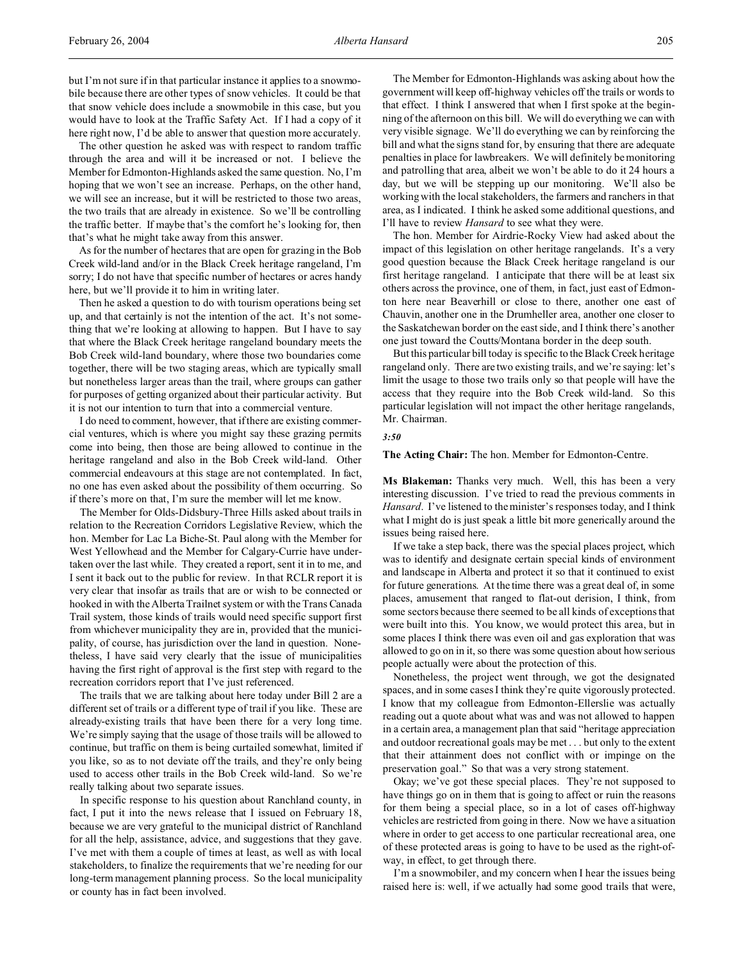but I'm not sure if in that particular instance it applies to a snowmobile because there are other types of snow vehicles. It could be that that snow vehicle does include a snowmobile in this case, but you would have to look at the Traffic Safety Act. If I had a copy of it here right now, I'd be able to answer that question more accurately.

The other question he asked was with respect to random traffic through the area and will it be increased or not. I believe the Member for Edmonton-Highlands asked the same question. No, I'm hoping that we won't see an increase. Perhaps, on the other hand, we will see an increase, but it will be restricted to those two areas, the two trails that are already in existence. So we'll be controlling the traffic better. If maybe that's the comfort he's looking for, then that's what he might take away from this answer.

As for the number of hectares that are open for grazing in the Bob Creek wild-land and/or in the Black Creek heritage rangeland, I'm sorry; I do not have that specific number of hectares or acres handy here, but we'll provide it to him in writing later.

Then he asked a question to do with tourism operations being set up, and that certainly is not the intention of the act. It's not something that we're looking at allowing to happen. But I have to say that where the Black Creek heritage rangeland boundary meets the Bob Creek wild-land boundary, where those two boundaries come together, there will be two staging areas, which are typically small but nonetheless larger areas than the trail, where groups can gather for purposes of getting organized about their particular activity. But it is not our intention to turn that into a commercial venture.

I do need to comment, however, that if there are existing commercial ventures, which is where you might say these grazing permits come into being, then those are being allowed to continue in the heritage rangeland and also in the Bob Creek wild-land. Other commercial endeavours at this stage are not contemplated. In fact, no one has even asked about the possibility of them occurring. So if there's more on that, I'm sure the member will let me know.

The Member for Olds-Didsbury-Three Hills asked about trails in relation to the Recreation Corridors Legislative Review, which the hon. Member for Lac La Biche-St. Paul along with the Member for West Yellowhead and the Member for Calgary-Currie have undertaken over the last while. They created a report, sent it in to me, and I sent it back out to the public for review. In that RCLR report it is very clear that insofar as trails that are or wish to be connected or hooked in with the Alberta Trailnet system or with the Trans Canada Trail system, those kinds of trails would need specific support first from whichever municipality they are in, provided that the municipality, of course, has jurisdiction over the land in question. Nonetheless, I have said very clearly that the issue of municipalities having the first right of approval is the first step with regard to the recreation corridors report that I've just referenced.

The trails that we are talking about here today under Bill 2 are a different set of trails or a different type of trail if you like. These are already-existing trails that have been there for a very long time. We're simply saying that the usage of those trails will be allowed to continue, but traffic on them is being curtailed somewhat, limited if you like, so as to not deviate off the trails, and they're only being used to access other trails in the Bob Creek wild-land. So we're really talking about two separate issues.

In specific response to his question about Ranchland county, in fact, I put it into the news release that I issued on February 18, because we are very grateful to the municipal district of Ranchland for all the help, assistance, advice, and suggestions that they gave. I've met with them a couple of times at least, as well as with local stakeholders, to finalize the requirements that we're needing for our long-term management planning process. So the local municipality or county has in fact been involved.

The Member for Edmonton-Highlands was asking about how the government will keep off-highway vehicles off the trails or words to that effect. I think I answered that when I first spoke at the beginning of the afternoon on this bill. We will do everything we can with very visible signage. We'll do everything we can by reinforcing the bill and what the signs stand for, by ensuring that there are adequate penalties in place for lawbreakers. We will definitely be monitoring and patrolling that area, albeit we won't be able to do it 24 hours a day, but we will be stepping up our monitoring. We'll also be working with the local stakeholders, the farmers and ranchers in that area, as I indicated. I think he asked some additional questions, and I'll have to review *Hansard* to see what they were.

The hon. Member for Airdrie-Rocky View had asked about the impact of this legislation on other heritage rangelands. It's a very good question because the Black Creek heritage rangeland is our first heritage rangeland. I anticipate that there will be at least six others across the province, one of them, in fact, just east of Edmonton here near Beaverhill or close to there, another one east of Chauvin, another one in the Drumheller area, another one closer to the Saskatchewan border on the east side, and I think there's another one just toward the Coutts/Montana border in the deep south.

But this particular bill today is specific to the Black Creek heritage rangeland only. There are two existing trails, and we're saying: let's limit the usage to those two trails only so that people will have the access that they require into the Bob Creek wild-land. So this particular legislation will not impact the other heritage rangelands, Mr. Chairman.

#### *3:50*

**The Acting Chair:** The hon. Member for Edmonton-Centre.

**Ms Blakeman:** Thanks very much. Well, this has been a very interesting discussion. I've tried to read the previous comments in *Hansard*. I've listened to the minister's responses today, and I think what I might do is just speak a little bit more generically around the issues being raised here.

If we take a step back, there was the special places project, which was to identify and designate certain special kinds of environment and landscape in Alberta and protect it so that it continued to exist for future generations. At the time there was a great deal of, in some places, amusement that ranged to flat-out derision, I think, from some sectors because there seemed to be all kinds of exceptions that were built into this. You know, we would protect this area, but in some places I think there was even oil and gas exploration that was allowed to go on in it, so there was some question about how serious people actually were about the protection of this.

Nonetheless, the project went through, we got the designated spaces, and in some cases I think they're quite vigorously protected. I know that my colleague from Edmonton-Ellerslie was actually reading out a quote about what was and was not allowed to happen in a certain area, a management plan that said "heritage appreciation and outdoor recreational goals may be met . . . but only to the extent that their attainment does not conflict with or impinge on the preservation goal." So that was a very strong statement.

Okay; we've got these special places. They're not supposed to have things go on in them that is going to affect or ruin the reasons for them being a special place, so in a lot of cases off-highway vehicles are restricted from going in there. Now we have a situation where in order to get access to one particular recreational area, one of these protected areas is going to have to be used as the right-ofway, in effect, to get through there.

I'm a snowmobiler, and my concern when I hear the issues being raised here is: well, if we actually had some good trails that were,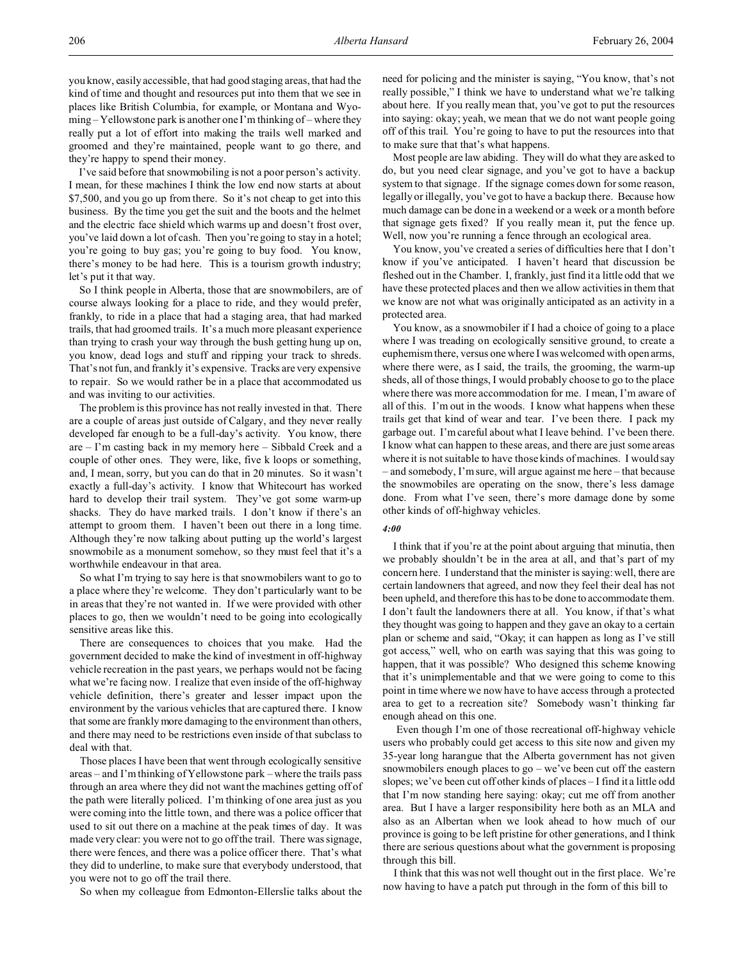I've said before that snowmobiling is not a poor person's activity. I mean, for these machines I think the low end now starts at about \$7,500, and you go up from there. So it's not cheap to get into this business. By the time you get the suit and the boots and the helmet and the electric face shield which warms up and doesn't frost over, you've laid down a lot of cash. Then you're going to stay in a hotel; you're going to buy gas; you're going to buy food. You know, there's money to be had here. This is a tourism growth industry; let's put it that way.

So I think people in Alberta, those that are snowmobilers, are of course always looking for a place to ride, and they would prefer, frankly, to ride in a place that had a staging area, that had marked trails, that had groomed trails. It's a much more pleasant experience than trying to crash your way through the bush getting hung up on, you know, dead logs and stuff and ripping your track to shreds. That's not fun, and frankly it's expensive. Tracks are very expensive to repair. So we would rather be in a place that accommodated us and was inviting to our activities.

The problem is this province has not really invested in that. There are a couple of areas just outside of Calgary, and they never really developed far enough to be a full-day's activity. You know, there are – I'm casting back in my memory here – Sibbald Creek and a couple of other ones. They were, like, five k loops or something, and, I mean, sorry, but you can do that in 20 minutes. So it wasn't exactly a full-day's activity. I know that Whitecourt has worked hard to develop their trail system. They've got some warm-up shacks. They do have marked trails. I don't know if there's an attempt to groom them. I haven't been out there in a long time. Although they're now talking about putting up the world's largest snowmobile as a monument somehow, so they must feel that it's a worthwhile endeavour in that area.

So what I'm trying to say here is that snowmobilers want to go to a place where they're welcome. They don't particularly want to be in areas that they're not wanted in. If we were provided with other places to go, then we wouldn't need to be going into ecologically sensitive areas like this.

There are consequences to choices that you make. Had the government decided to make the kind of investment in off-highway vehicle recreation in the past years, we perhaps would not be facing what we're facing now. I realize that even inside of the off-highway vehicle definition, there's greater and lesser impact upon the environment by the various vehicles that are captured there. I know that some are frankly more damaging to the environment than others, and there may need to be restrictions even inside of that subclass to deal with that.

Those places I have been that went through ecologically sensitive areas – and I'm thinking of Yellowstone park – where the trails pass through an area where they did not want the machines getting off of the path were literally policed. I'm thinking of one area just as you were coming into the little town, and there was a police officer that used to sit out there on a machine at the peak times of day. It was made very clear: you were not to go off the trail. There was signage, there were fences, and there was a police officer there. That's what they did to underline, to make sure that everybody understood, that you were not to go off the trail there.

So when my colleague from Edmonton-Ellerslie talks about the

need for policing and the minister is saying, "You know, that's not really possible," I think we have to understand what we're talking about here. If you really mean that, you've got to put the resources into saying: okay; yeah, we mean that we do not want people going off of this trail. You're going to have to put the resources into that to make sure that that's what happens.

Most people are law abiding. They will do what they are asked to do, but you need clear signage, and you've got to have a backup system to that signage. If the signage comes down for some reason, legally or illegally, you've got to have a backup there. Because how much damage can be done in a weekend or a week or a month before that signage gets fixed? If you really mean it, put the fence up. Well, now you're running a fence through an ecological area.

You know, you've created a series of difficulties here that I don't know if you've anticipated. I haven't heard that discussion be fleshed out in the Chamber. I, frankly, just find it a little odd that we have these protected places and then we allow activities in them that we know are not what was originally anticipated as an activity in a protected area.

You know, as a snowmobiler if I had a choice of going to a place where I was treading on ecologically sensitive ground, to create a euphemism there, versus one where I was welcomed with open arms, where there were, as I said, the trails, the grooming, the warm-up sheds, all of those things, I would probably choose to go to the place where there was more accommodation for me. I mean, I'm aware of all of this. I'm out in the woods. I know what happens when these trails get that kind of wear and tear. I've been there. I pack my garbage out. I'm careful about what I leave behind. I've been there. I know what can happen to these areas, and there are just some areas where it is not suitable to have those kinds of machines. I would say – and somebody, I'm sure, will argue against me here – that because the snowmobiles are operating on the snow, there's less damage done. From what I've seen, there's more damage done by some other kinds of off-highway vehicles.

#### *4:00*

I think that if you're at the point about arguing that minutia, then we probably shouldn't be in the area at all, and that's part of my concern here. I understand that the minister is saying: well, there are certain landowners that agreed, and now they feel their deal has not been upheld, and therefore this has to be done to accommodate them. I don't fault the landowners there at all. You know, if that's what they thought was going to happen and they gave an okay to a certain plan or scheme and said, "Okay; it can happen as long as I've still got access," well, who on earth was saying that this was going to happen, that it was possible? Who designed this scheme knowing that it's unimplementable and that we were going to come to this point in time where we now have to have access through a protected area to get to a recreation site? Somebody wasn't thinking far enough ahead on this one.

 Even though I'm one of those recreational off-highway vehicle users who probably could get access to this site now and given my 35-year long harangue that the Alberta government has not given snowmobilers enough places to go – we've been cut off the eastern slopes; we've been cut off other kinds of places – I find it a little odd that I'm now standing here saying: okay; cut me off from another area. But I have a larger responsibility here both as an MLA and also as an Albertan when we look ahead to how much of our province is going to be left pristine for other generations, and I think there are serious questions about what the government is proposing through this bill.

I think that this was not well thought out in the first place. We're now having to have a patch put through in the form of this bill to